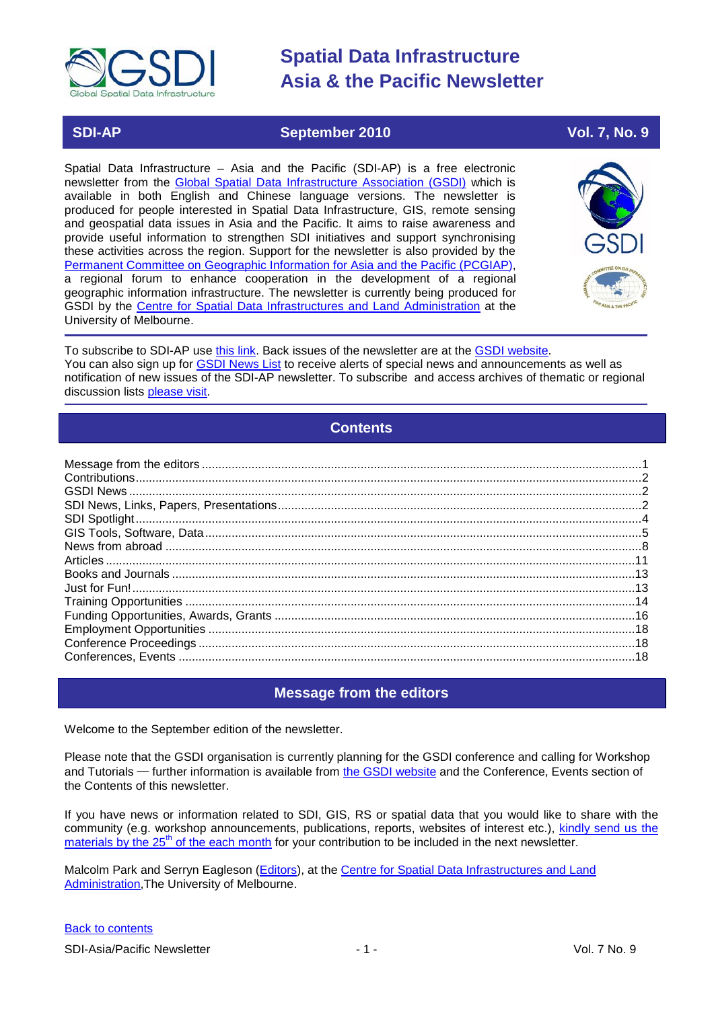

# **SDI-AP September 2010 Vol. 7, No. 9**

Spatial Data Infrastructure – Asia and the Pacific (SDI-AP) is a free electronic newsletter from the [Global Spatial Data Infrastructure Association \(GSDI\)](http://www.gsdi.org/) which is available in both English and Chinese language versions. The newsletter is produced for people interested in Spatial Data Infrastructure, GIS, remote sensing and geospatial data issues in Asia and the Pacific. It aims to raise awareness and provide useful information to strengthen SDI initiatives and support synchronising these activities across the region. Support for the newsletter is also provided by the [Permanent Committee on Geographic Information for Asia](http://www.pcgiap.org/) and the Pacific (PCGIAP), a regional forum to enhance cooperation in the development of a regional geographic information infrastructure. The newsletter is currently being produced for GSDI by the Centre for [Spatial Data Infrastructures and Land Administration](http://www.csdila.unimelb.edu.au/) at the University of Melbourne.



To subscribe to SDI-AP use [this link.](http://www.gsdi.org/newslist/gsdisubscribe.asp) Back issues of the newsletter are at the [GSDI website.](http://www.gsdi.org/newsletters.asp) You can also sign up for **GSDI News List** to receive alerts of special news and announcements as well as notification of new issues of the SDI-AP newsletter. To subscribe and access archives of thematic or regional discussion lists [please visit.](http://www.gsdi.org/discussionlists.asp)

# **Contents**

<span id="page-0-0"></span>

# **Message from the editors**

<span id="page-0-1"></span>Welcome to the September edition of the newsletter.

Please note that the GSDI organisation is currently planning for the GSDI conference and calling for Workshop and Tutorials — further information is available from [the GSDI website](http://www.gsdi.org/node/246) and the Conference, Events section of the Contents of this newsletter.

If you have news or information related to SDI, GIS, RS or spatial data that you would like to share with the community (e.g. workshop announcements, publications, reports, websites of interest etc.), [kindly send us](mailto:sdi-ap@gsdi.org) the materials by the  $25<sup>th</sup>$  of the each month for your contribution to be included in the next newsletter.

Malcolm Park and Serryn Eagleson [\(Editors\)](mailto:Editor.SDIAP@gmail.com), at the [Centre for Spatial Data Infrastructures and Land](http://www.csdila.unimelb.edu.au/)  [Administration,](http://www.csdila.unimelb.edu.au/)The University of Melbourne.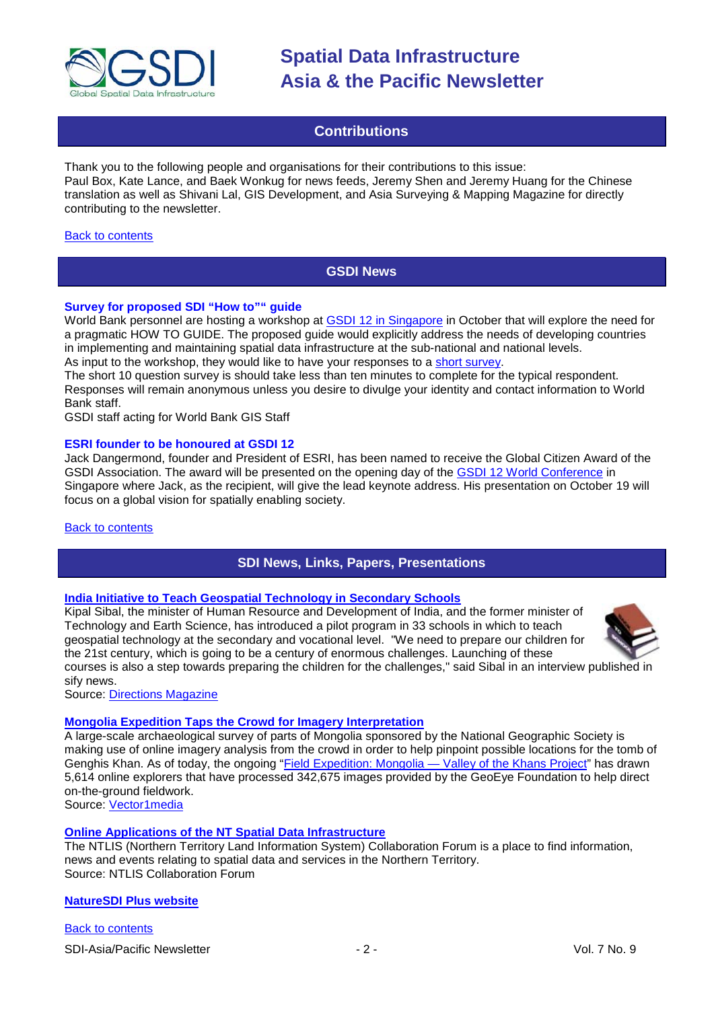

# **Contributions**

<span id="page-1-0"></span>Thank you to the following people and organisations for their contributions to this issue: Paul Box, Kate Lance, and Baek Wonkug for news feeds, Jeremy Shen and Jeremy Huang for the Chinese translation as well as Shivani Lal, GIS Development, and Asia Surveying & Mapping Magazine for directly contributing to the newsletter.

#### <span id="page-1-1"></span>[Back to contents](#page-0-0)

# **GSDI News**

## **Survey for proposed SDI "How to"" guide**

World Bank personnel are hosting a workshop at **GSDI 12 in Singapore** in October that will explore the need for a pragmatic HOW TO GUIDE. The proposed guide would explicitly address the needs of developing countries in implementing and maintaining spatial data infrastructure at the sub-national and national levels. As input to the workshop, they would like to have your responses to a [short survey.](http://www.gsdi.org/survey/index.php?sid=14255&lang=en)

The short 10 question survey is should take less than ten minutes to complete for the typical respondent. Responses will remain anonymous unless you desire to divulge your identity and contact information to World Bank staff.

GSDI staff acting for World Bank GIS Staff

## **ESRI founder to be honoured at GSDI 12**

Jack Dangermond, founder and President of ESRI, has been named to receive the Global Citizen Award of the GSDI Association. The award will be presented on the opening day of the [GSDI 12 World Conference](http://gsdi.org/gsdi12) in Singapore where Jack, as the recipient, will give the lead keynote address. His presentation on October 19 will focus on a global vision for spatially enabling society.

#### <span id="page-1-2"></span>[Back to contents](#page-0-0)

# **SDI News, Links, Papers, Presentations**

#### **[India Initiative to Teach Geospatial Technology in Secondary Schools](http://apb.directionsmag.com/archives/8341-India-Initiative-to-Teach-Geospatial-Technology-in-Secondary-Schools.html)**

Kipal Sibal, the minister of Human Resource and Development of India, and the former minister of Technology and Earth Science, has introduced a pilot program in 33 schools in which to teach geospatial technology at the secondary and vocational level. "We need to prepare our children for the 21st century, which is going to be a century of enormous challenges. Launching of these



courses is also a step towards preparing the children for the challenges," said Sibal in an interview published in sify news.

Source: [Directions Magazine](http://apb.directionsmag.com/archives/8341-India-Initiative-to-Teach-Geospatial-Technology-in-Secondary-Schools.html)

# **[Mongolia Expedition Taps the Crowd for Imagery Interpretation](http://vector1media.com/spatialsustain/mongolia-expedition-taps-the-crowd-for-imagery-interpretation.html)**

A large-scale archaeological survey of parts of Mongolia sponsored by the National Geographic Society is making use of online imagery analysis from the crowd in order to help pinpoint possible locations for the tomb of Genghis Khan. As of today, the ongoing ["Field Expedition: Mongolia —](http://exploration.nationalgeographic.com/mongolia/home) Valley of the Khans Project" has drawn 5,614 online explorers that have processed 342,675 images provided by the GeoEye Foundation to help direct on-the-ground fieldwork.

Source: [Vector1media](http://vector1media.com/spatialsustain/mongolia-expedition-taps-the-crowd-for-imagery-interpretation.html?utm_source=feedburner&utm_medium=feed&utm_campaign=Feed%3A+SpatialSustain+%28Spatial+Sustain%29&utm_content=Google+Reader)

# **[Online Applications of the NT Spatial Data Infrastructure](http://www.ntlis.nt.gov.au/forum/ntlis_documents/online-applications-of-the-nt-spatial-data-infrastructure)**

The NTLIS (Northern Territory Land Information System) Collaboration Forum is a place to find information, news and events relating to spatial data and services in the Northern Territory. Source: NTLIS Collaboration Forum

#### **[NatureSDI Plus website](http://www.nature-sdi.eu/)**

[Back to contents](#page-0-0)

SDI-Asia/Pacific Newsletter  $\sim$  2 - 2 - Vol. 7 No. 9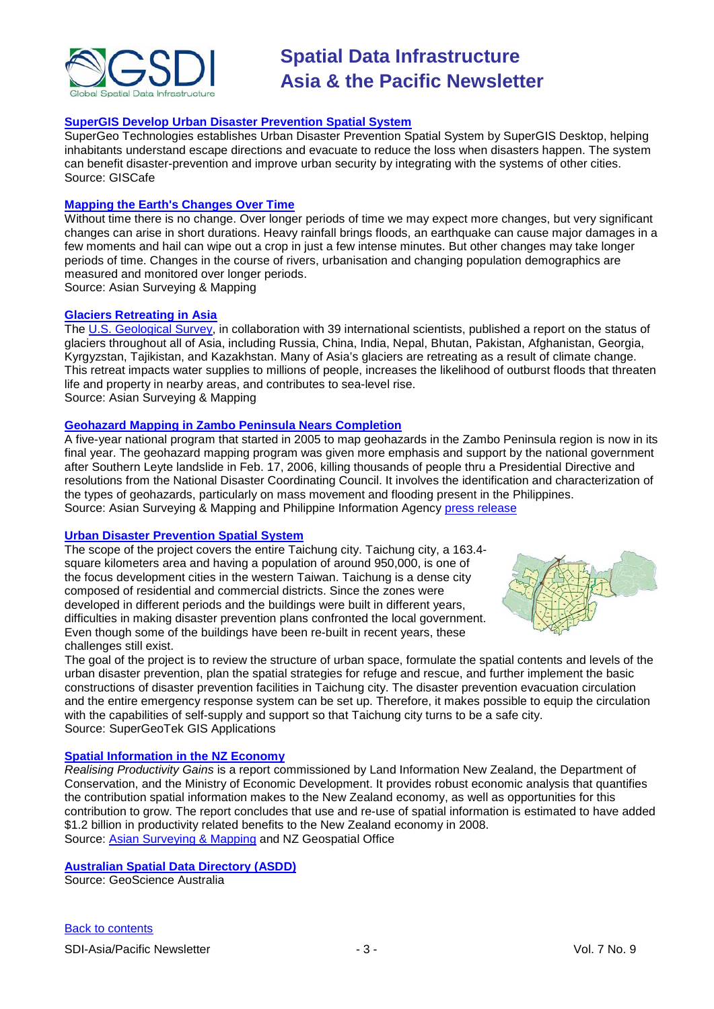

# **[SuperGIS Develop Urban Disaster Prevention Spatial System](http://www10.giscafe.com/nbc/articles/1/857191/SuperGIS-Develop-Urban-Disaster-Prevention-Spatial-System)**

SuperGeo Technologies establishes Urban Disaster Prevention Spatial System by SuperGIS Desktop, helping inhabitants understand escape directions and evacuate to reduce the loss when disasters happen. The system can benefit disaster-prevention and improve urban security by integrating with the systems of other cities. Source: GISCafe

#### **[Mapping the Earth's Changes Over Time](http://asmmag.com/features/mapping-the-earth-s-changes-over-time)**

Without time there is no change. Over longer periods of time we may expect more changes, but very significant changes can arise in short durations. Heavy rainfall brings floods, an earthquake can cause major damages in a few moments and hail can wipe out a crop in just a few intense minutes. But other changes may take longer periods of time. Changes in the course of rivers, urbanisation and changing population demographics are measured and monitored over longer periods.

Source: Asian Surveying & Mapping

## **Glaciers Retreating in Asia**

The [U.S. Geological Survey,](http://www.usgs.gov/newsroom/article.asp?ID=2573) in collaboration with 39 international scientists, published a report on the status of glaciers throughout all of Asia, including Russia, China, India, Nepal, Bhutan, Pakistan, Afghanistan, Georgia, Kyrgyzstan, Tajikistan, and Kazakhstan. Many of Asia's glaciers are retreating as a result of climate change. This retreat impacts water supplies to millions of people, increases the likelihood of outburst floods that threaten life and property in nearby areas, and contributes to sea-level rise. Source: Asian Surveying & Mapping

# **Geohazard Mapping in Zambo Peninsula Nears Completion**

A five-year national program that started in 2005 to map geohazards in the Zambo Peninsula region is now in its final year. The geohazard mapping program was given more emphasis and support by the national government after Southern Leyte landslide in Feb. 17, 2006, killing thousands of people thru a Presidential Directive and resolutions from the National Disaster Coordinating Council. It involves the identification and characterization of the types of geohazards, particularly on mass movement and flooding present in the Philippines. Source: Asian Surveying & Mapping and Philippine Information Agency [press release](http://www.pia.gov.ph/?m=12&r=&y=&mo=&fi=p100825.htm&no=34)

#### **[Urban Disaster Prevention Spatial System](http://www.supergeotek.com/Library_2_201008_4.aspx)**

The scope of the project covers the entire Taichung city. Taichung city, a 163.4 square kilometers area and having a population of around 950,000, is one of the focus development cities in the western Taiwan. Taichung is a dense city composed of residential and commercial districts. Since the zones were developed in different periods and the buildings were built in different years, difficulties in making disaster prevention plans confronted the local government. Even though some of the buildings have been re-built in recent years, these challenges still exist.



The goal of the project is to review the structure of urban space, formulate the spatial contents and levels of the urban disaster prevention, plan the spatial strategies for refuge and rescue, and further implement the basic constructions of disaster prevention facilities in Taichung city. The disaster prevention evacuation circulation and the entire emergency response system can be set up. Therefore, it makes possible to equip the circulation with the capabilities of self-supply and support so that Taichung city turns to be a safe city. Source: SuperGeoTek GIS Applications

#### **[Spatial Information in the NZ Economy](http://www.geospatial.govt.nz/productivityreport/#_ftn1)**

*Realising Productivity Gains* is a report commissioned by Land Information New Zealand, the Department of Conservation, and the Ministry of Economic Development. It provides robust economic analysis that quantifies the contribution spatial information makes to the New Zealand economy, as well as opportunities for this contribution to grow. The report concludes that use and re-use of spatial information is estimated to have added \$1.2 billion in productivity related benefits to the New Zealand economy in 2008. Source: [Asian Surveying & Mapping](http://asmmag.com/news/spatial-information-in-the-nz-economy) and NZ Geospatial Office

# **Australian Spatial [Data Directory \(ASDD\)](http://asdd.ga.gov.au/asdd/tech/quarterlies/aprjun10.html)**

Source: GeoScience Australia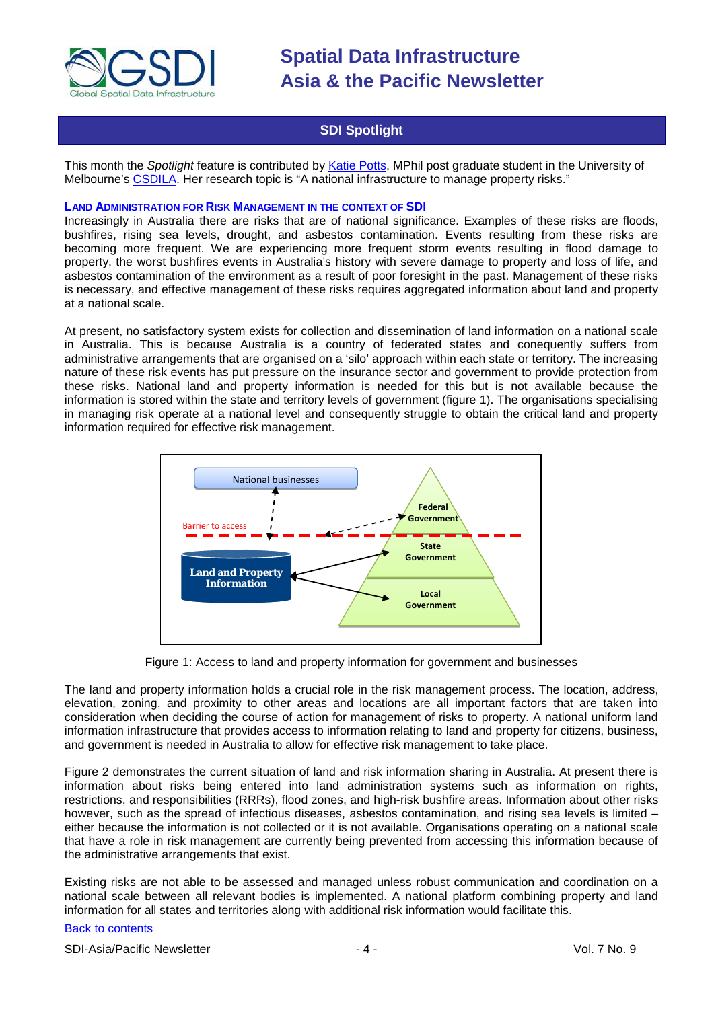

# **SDI Spotlight**

<span id="page-3-0"></span>This month the *Spotlight* feature is contributed by Katie [Potts,](http://www.csdila.unimelb.edu.au/people/rteam/katie.html) MPhil post graduate student in the University of Melbourne's [CSDILA.](http://www.csdila.unimelb.edu.au/) Her research topic is "A national infrastructure to manage property risks."

#### **LAND ADMINISTRATION FOR RISK MANAGEMENT IN THE CONTEXT OF SDI**

Increasingly in Australia there are risks that are of national significance. Examples of these risks are floods, bushfires, rising sea levels, drought, and asbestos contamination. Events resulting from these risks are becoming more frequent. We are experiencing more frequent storm events resulting in flood damage to property, the worst bushfires events in Australia's history with severe damage to property and loss of life, and asbestos contamination of the environment as a result of poor foresight in the past. Management of these risks is necessary, and effective management of these risks requires aggregated information about land and property at a national scale.

At present, no satisfactory system exists for collection and dissemination of land information on a national scale in Australia. This is because Australia is a country of federated states and conequently suffers from administrative arrangements that are organised on a 'silo' approach within each state or territory. The increasing nature of these risk events has put pressure on the insurance sector and government to provide protection from these risks. National land and property information is needed for this but is not available because the information is stored within the state and territory levels of government (figure 1). The organisations specialising in managing risk operate at a national level and consequently struggle to obtain the critical land and property information required for effective risk management.



Figure 1: Access to land and property information for government and businesses

The land and property information holds a crucial role in the risk management process. The location, address, elevation, zoning, and proximity to other areas and locations are all important factors that are taken into consideration when deciding the course of action for management of risks to property. A national uniform land information infrastructure that provides access to information relating to land and property for citizens, business, and government is needed in Australia to allow for effective risk management to take place.

Figure 2 demonstrates the current situation of land and risk information sharing in Australia. At present there is information about risks being entered into land administration systems such as information on rights, restrictions, and responsibilities (RRRs), flood zones, and high-risk bushfire areas. Information about other risks however, such as the spread of infectious diseases, asbestos contamination, and rising sea levels is limited – either because the information is not collected or it is not available. Organisations operating on a national scale that have a role in risk management are currently being prevented from accessing this information because of the administrative arrangements that exist.

Existing risks are not able to be assessed and managed unless robust communication and coordination on a national scale between all relevant bodies is implemented. A national platform combining property and land information for all states and territories along with additional risk information would facilitate this.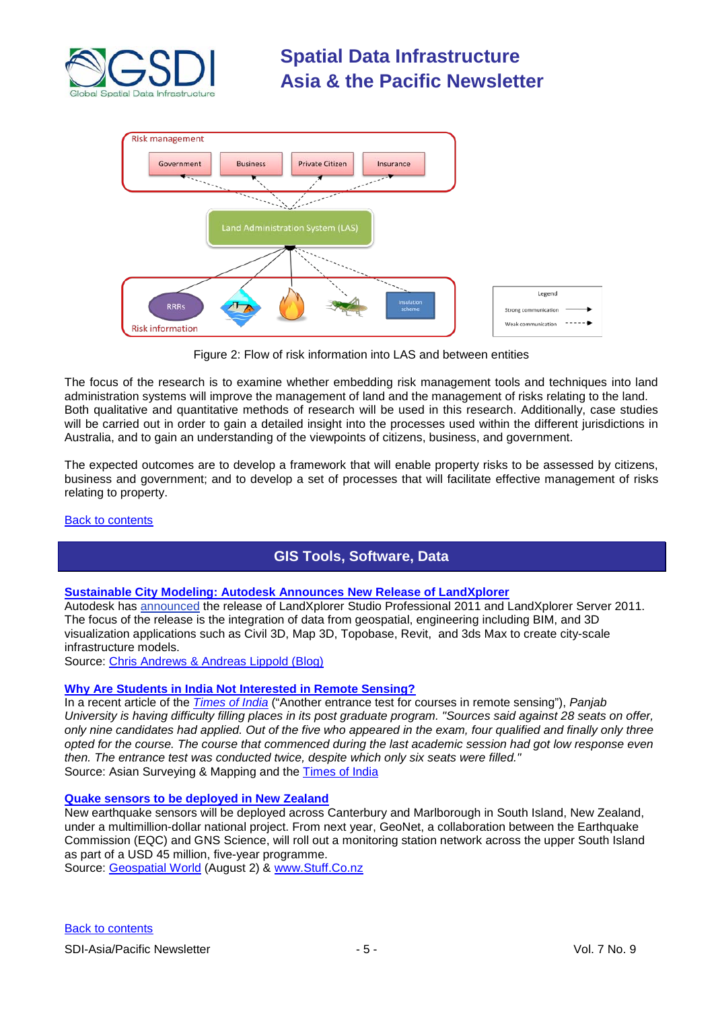



Figure 2: Flow of risk information into LAS and between entities

The focus of the research is to examine whether embedding risk management tools and techniques into land administration systems will improve the management of land and the management of risks relating to the land. Both qualitative and quantitative methods of research will be used in this research. Additionally, case studies will be carried out in order to gain a detailed insight into the processes used within the different jurisdictions in Australia, and to gain an understanding of the viewpoints of citizens, business, and government.

The expected outcomes are to develop a framework that will enable property risks to be assessed by citizens, business and government; and to develop a set of processes that will facilitate effective management of risks relating to property.

# <span id="page-4-0"></span>[Back to contents](#page-0-0)

# **GIS Tools, Software, Data**

# **Sustainable [City Modeling: Autodesk Announces New Release of LandXplorer](http://feedproxy.google.com/~r/typepad/zeissg/geospatial/~3/xrNRlOi6ENM/autodesk-announces-new-release-of-landxplorer.html)**

Autodesk has [announced](http://atlandsend.typepad.com/at-lands-end/2010/07/landxplorer-studio-professional-2011-landxplorer-server-2011-released.html) the release of LandXplorer Studio Professional 2011 and LandXplorer Server 2011. The focus of the release is the integration of data from geospatial, engineering including BIM, and 3D visualization applications such as Civil 3D, Map 3D, Topobase, Revit, and 3ds Max to create city-scale infrastructure models.

Source: [Chris Andrews & Andreas Lippold \(Blog\)](http://atlandsend.typepad.com/at-lands-end/2010/07/landxplorer-studio-professional-2011-landxplorer-server-2011-released.html#tp)

# **[Why Are Students in India Not Interested in Remote Sensing?](http://asmmag.com/news/why-are-students-in-india-not-interested-in-remote-sensing-)**

In a recent article of the *[Times of India](http://www.asmmag.com/news/panjab-university-sees-low-interest-in-masters-in-remote-sensing-and-gis)* ("Another entrance test for courses in remote sensing"), *Panjab University is having difficulty filling places in its post graduate program. "Sources said against 28 seats on offer, only nine candidates had applied. Out of the five who appeared in the exam, four qualified and finally only three opted for the course. The course that commenced during the last academic session had got low response even then. The entrance test was conducted twice, despite which only six seats were filled."* Source: Asian Surveying & Mapping and the [Times of India](http://timesofindia.indiatimes.com/city/chandigarh/Another-entrance-test-for-courses-in-remote-sensing/articleshow/6225281.cms)

# **[Quake sensors to be deployed in New Zealand](http://www.stuff.co.nz/national/3963953/South-Island-to-get-quake-sensors)**

New earthquake sensors will be deployed across Canterbury and Marlborough in South Island, New Zealand, under a multimillion-dollar national project. From next year, GeoNet, a collaboration between the Earthquake Commission (EQC) and GNS Science, will roll out a monitoring station network across the upper South Island as part of a USD 45 million, five-year programme.

Source: [Geospatial World](http://geospatialworld.net/index.php?option=com_content&view=article&id=18086:quake-sensors-to-be-deployed-in-new-zealand&catid=53:application-natural-hazard-management&Itemid=1) (August 2) & [www.Stuff.Co.nz](http://www.stuff.co.nz/)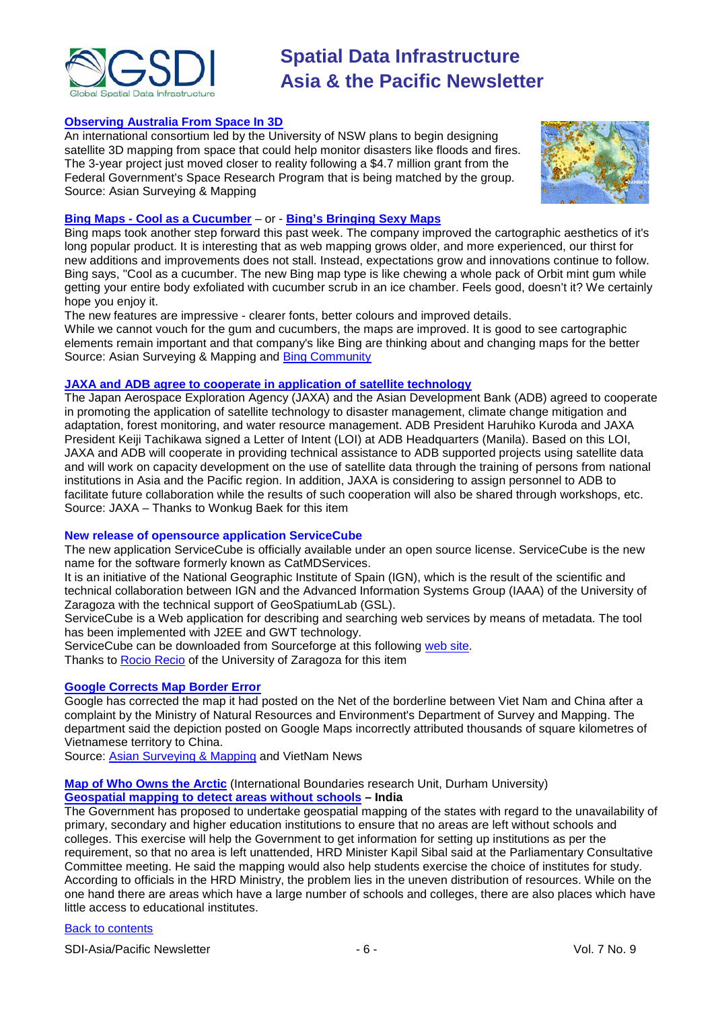

## **[Observing Australia From Space In 3D](http://asmmag.com/features/observing-australia-from-space-in-3d)**

An international consortium led by the University of NSW plans to begin designing satellite 3D mapping from space that could help monitor disasters like floods and fires. The 3-year project just moved closer to reality following a \$4.7 million grant from the Federal Government's Space Research Program that is being matched by the group. Source: Asian Surveying & Mapping



## **Bing Maps - [Cool as a Cucumber](http://asmmag.com/news/bing-maps-cool-as-a-cucumber)** – or - **[Bing's Bringing Sexy Maps](http://www.bing.com/community/blogs/maps/archive/2010/08/03/bing-s-bringing-sexy-maps.aspx)**

Bing maps took another step forward this past week. The company improved the cartographic aesthetics of it's long popular product. It is interesting that as web mapping grows older, and more experienced, our thirst for new additions and improvements does not stall. Instead, expectations grow and innovations continue to follow. Bing says, "Cool as a cucumber. The new Bing map type is like chewing a whole pack of Orbit mint gum while getting your entire body exfoliated with cucumber scrub in an ice chamber. Feels good, doesn't it? We certainly hope you enjoy it.

The new features are impressive - clearer fonts, better colours and improved details.

While we cannot vouch for the gum and cucumbers, the maps are improved. It is good to see cartographic elements remain important and that company's like Bing are thinking about and changing maps for the better Source: Asian Surveying & Mapping and [Bing Community](http://www.bing.com/community/)

# **JAXA and ADB agree [to cooperate in application of satellite technology](http://www.jaxa.jp/press/2010/07/20100721_adb_e.html)**

The Japan Aerospace Exploration Agency (JAXA) and the Asian Development Bank (ADB) agreed to cooperate in promoting the application of satellite technology to disaster management, climate change mitigation and adaptation, forest monitoring, and water resource management. ADB President Haruhiko Kuroda and JAXA President Keiji Tachikawa signed a Letter of Intent (LOI) at ADB Headquarters (Manila). Based on this LOI, JAXA and ADB will cooperate in providing technical assistance to ADB supported projects using satellite data and will work on capacity development on the use of satellite data through the training of persons from national institutions in Asia and the Pacific region. In addition, JAXA is considering to assign personnel to ADB to facilitate future collaboration while the results of such cooperation will also be shared through workshops, etc. Source: JAXA – Thanks to Wonkug Baek for this item

#### **New release of opensource application ServiceCube**

The new application ServiceCube is officially available under an open source license. ServiceCube is the new name for the software formerly known as CatMDServices.

It is an initiative of the National Geographic Institute of Spain (IGN), which is the result of the scientific and technical collaboration between IGN and the Advanced Information Systems Group (IAAA) of the University of Zaragoza with the technical support of GeoSpatiumLab (GSL).

ServiceCube is a Web application for describing and searching web services by means of metadata. The tool has been implemented with J2EE and GWT technology.

ServiceCube can be downloaded from Sourceforge at this following [web site.](http://spatiumcube.sourceforge.net/components.html)

Thanks to [Rocio Recio](mailto:rociorm@unizar.es) of the University of Zaragoza for this item

#### **[Google Corrects Map Border Error](http://vietnamnews.vnagency.com.vn/Social-Isssues/202262/Google-corrects-map-border-error.html)**

Google has corrected the map it had posted on the Net of the borderline between Viet Nam and China after a complaint by the Ministry of Natural Resources and Environment's Department of Survey and Mapping. The department said the depiction posted on Google Maps incorrectly attributed thousands of square kilometres of Vietnamese territory to China.

Source: [Asian Surveying & Mapping](http://asmmag.com/news/google-corrects-map-border-error) and VietNam News

#### **[Map of Who Owns](http://www.dur.ac.uk/resources/ibru/arctic.pdf) the Arctic** (International Boundaries research Unit, Durham University) **[Geospatial mapping to detect areas without schools](http://ibnlive.in.com/generalnewsfeed/news/geospatial-mapping-to-detect-areas-without-schools/225579.html) – India**

The Government has proposed to undertake geospatial mapping of the states with regard to the unavailability of primary, secondary and higher education institutions to ensure that no areas are left without schools and colleges. This exercise will help the Government to get information for setting up institutions as per the requirement, so that no area is left unattended, HRD Minister Kapil Sibal said at the Parliamentary Consultative Committee meeting. He said the mapping would also help students exercise the choice of institutes for study. According to officials in the HRD Ministry, the problem lies in the uneven distribution of resources. While on the one hand there are areas which have a large number of schools and colleges, there are also places which have little access to educational institutes.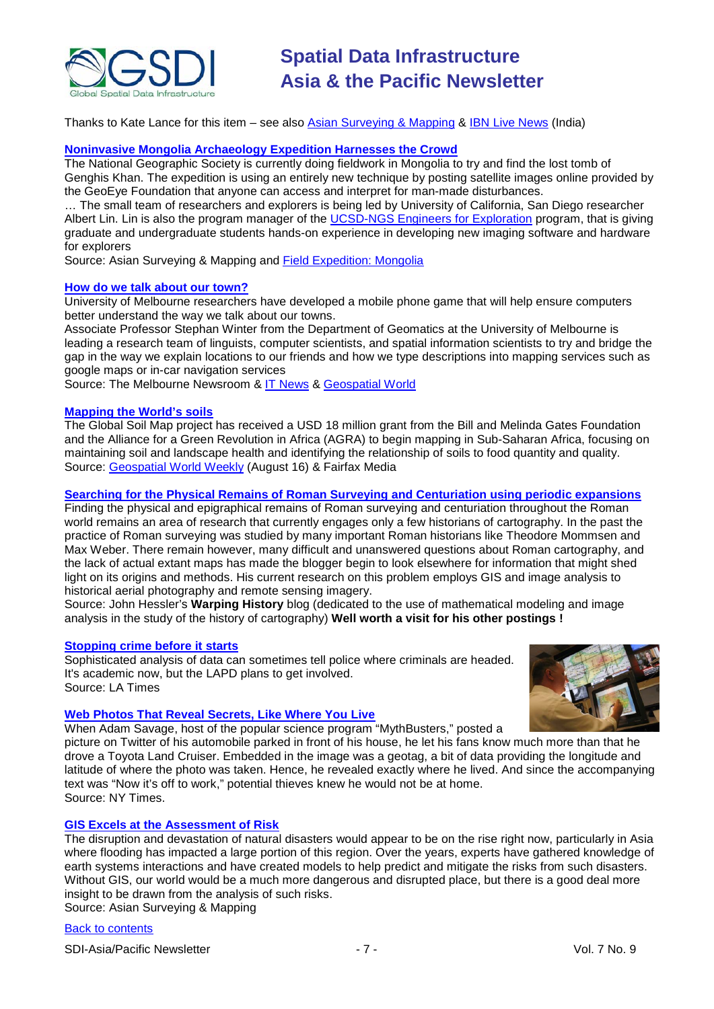

Thanks to Kate Lance for this item – see also [Asian Surveying & Mapping](http://asmmag.com/news/india-deploys-geospatial-mapping-to-detect-areas-without-schools) & [IBN Live News](http://ibnlive.in.com/) (India)

#### **[Noninvasive Mongolia Archaeology Expedition Harnesses the Crowd](http://asmmag.com/features/noninvasive-mongolia-archaelogy-expedition-harnesses-the-crowd)**

The National Geographic Society is currently doing fieldwork in Mongolia to try and find the lost tomb of Genghis Khan. The expedition is using an entirely new technique by posting satellite images online provided by the GeoEye Foundation that anyone can access and interpret for man-made disturbances.

… The small team of researchers and explorers is being led by University of California, San Diego researcher Albert Lin. Lin is also the program manager of the [UCSD-NGS Engineers for Exploration](http://ngs.ucsd.edu/) program, that is giving graduate and undergraduate students hands-on experience in developing new imaging software and hardware for explorers

Source: Asian Surveying & Mapping and [Field Expedition: Mongolia](http://exploration.nationalgeographic.com/mongolia/home)

## **[How do we talk about our town?](http://newsroom.melbourne.edu/news/n-345)**

University of Melbourne researchers have developed a mobile phone game that will help ensure computers better understand the way we talk about our towns.

Associate Professor Stephan Winter from the Department of Geomatics at the University of Melbourne is leading a research team of linguists, computer scientists, and spatial information scientists to try and bridge the gap in the way we explain locations to our friends and how we type descriptions into mapping services such as google maps or in-car navigation services

Source: The Melbourne Newsroom & [IT News](http://www.itnews.com.au/News/229159,scientists-launch-game-to-crowdsource-place-descriptions.aspx) & [Geospatial World](http://www.geospatialworld.net/index.php?option=com_content&view=article&id=18228%3Amobile-phone-game-to-crowdsource-place-descriptions&catid=49%3Aproduct-data&Itemid=1)

## **[Mapping the World's soils](http://sl.farmonline.com.au/news/nationalrural/agribusiness-and-general/general/mapping-the-worlds-soils/1904396.aspx)**

The Global Soil Map project has received a USD 18 million grant from the Bill and Melinda Gates Foundation and the Alliance for a Green Revolution in Africa (AGRA) to begin mapping in Sub-Saharan Africa, focusing on maintaining soil and landscape health and identifying the relationship of soils to food quantity and quality. Source: [Geospatial World Weekly](http://www.geospatialworld.net/index.php?option=com_content&view=article&id=18174%3Amapping-the-worlds-soils&catid=47%3Aproduct-surveying-mapping&Itemid=1) (August 16) & Fairfax Media

## **[Searching for the Physical Remains of Roman Surveying and Centuriation using periodic expansions](http://warpinghistory.blogspot.com/2010/08/fourier-meets-caesar-finding-physical.html)**

Finding the physical and epigraphical remains of Roman surveying and centuriation throughout the Roman world remains an area of research that currently engages only a few historians of cartography. In the past the practice of Roman surveying was studied by many important Roman historians like Theodore Mommsen and Max Weber. There remain however, many difficult and unanswered questions about Roman cartography, and the lack of actual extant maps has made the blogger begin to look elsewhere for information that might shed light on its origins and methods. His current research on this problem employs GIS and image analysis to historical aerial photography and remote sensing imagery.

Source: John Hessler's **Warping History** blog (dedicated to the use of mathematical modeling and image analysis in the study of the history of cartography) **Well worth a visit for his other postings !**

## **[Stopping crime before it starts](http://www.latimes.com/news/local/la-me-predictcrime-20100427-1,0,7558446.story)**

Sophisticated analysis of data can sometimes tell police where criminals are headed. It's academic now, but the LAPD plans to get involved. Source: LA Times



# **[Web Photos That Reveal Secrets, Like Where You Live](http://www.nytimes.com/2010/08/12/technology/personaltech/12basics.html?_r=1)**

When Adam Savage, host of the popular science program "MythBusters," posted a

picture on [Twitter](http://topics.nytimes.com/top/news/business/companies/twitter/index.html?inline=nyt-org) of his automobile parked in front of his house, he let his fans know much more than that he drove a Toyota Land Cruiser. Embedded in the image was a geotag, a bit of data providing the longitude and latitude of where the photo was taken. Hence, he revealed exactly where he lived. And since the accompanying text was "Now it's off to work," potential thieves knew he would not be at home. Source: NY Times.

# **[GIS Excels at the Assessment of Risk](http://asmmag.com/features/gis-excels-at-the-assessment-of-risk)**

The disruption and devastation of natural disasters would appear to be on the rise right now, particularly in Asia where flooding has impacted a large portion of this region. Over the years, experts have gathered knowledge of earth systems interactions and have created models to help predict and mitigate the risks from such disasters. Without GIS, our world would be a much more dangerous and disrupted place, but there is a good deal more insight to be drawn from the analysis of such risks. Source: Asian Surveying & Mapping

[Back to contents](#page-0-0)

SDI-Asia/Pacific Newsletter  $\overline{7}$  - 7 -  $\overline{7}$  -  $\overline{7}$  -  $\overline{9}$  Vol. 7 No. 9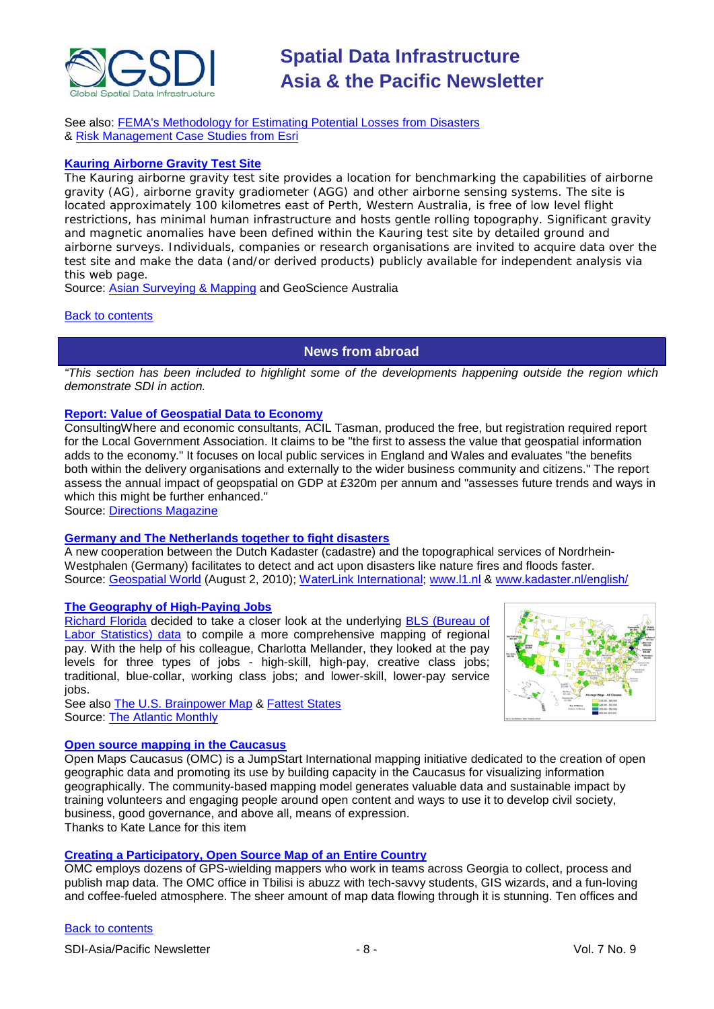

See also: [FEMA's Methodology for Estimating Potential Losses from Disasters](http://www.fema.gov/plan/prevent/hazus/) & [Risk Management Case Studies from Esri](http://www.esri.com/industries/insurance/business/risk_management.html)

# **Kauring [Airborne Gravity Test Site](http://www.ga.gov.au/minerals/kauring/index.jsp)**

The Kauring airborne gravity test site provides a location for benchmarking the capabilities of airborne gravity (AG), airborne gravity gradiometer (AGG) and other airborne sensing systems. The site is located approximately 100 kilometres east of Perth, Western Australia, is free of low level flight restrictions, has minimal human infrastructure and hosts gentle rolling topography. Significant gravity and magnetic anomalies have been defined within the Kauring test site by detailed ground and airborne surveys. Individuals, companies or research organisations are invited to acquire data over the test site and make the data (and/or derived products) publicly available for independent analysis via this web page.

Source: [Asian Surveying & Mapping](http://asmmag.com/news/) and GeoScience Australia

#### <span id="page-7-0"></span>[Back to contents](#page-0-0)

# **News from abroad**

*"This section has been included to highlight some of the developments happening outside the region which demonstrate SDI in action.*

# **[Report: Value of Geospatial Data to Economy](http://apb.directionsmag.com/archives/8421-Report-Value-of-Geospatial-Data-to-Economy.html)**

ConsultingWhere and economic consultants, ACIL Tasman, produced the free, but registration required report for the Local Government Association. It claims to be "the first to assess the value that geospatial information adds to the economy." It focuses on local public services in England and Wales and evaluates "the benefits both within the delivery organisations and externally to the wider business community and citizens." The report assess the annual impact of geopspatial on GDP at £320m per annum and "assesses future trends and ways in which this might be further enhanced."

Source: [Directions Magazine](http://apb.directionsmag.com/archives/8421-Report-Value-of-Geospatial-Data-to-Economy.html)

# **[Germany and The Netherlands together to fight disasters](http://www.kadaster.nl/index_frames.html?inhoud=/nieuws-bericht.asp%3FId%3D817%26Id_Categorie%3D2&navig=/nav_serverside.html%3Fscript%3D1)**

A new cooperation between the Dutch Kadaster (cadastre) and the topographical services of Nordrhein-Westphalen (Germany) facilitates to detect and act upon disasters like nature fires and floods faster. Source: [Geospatial World](http://www.geospatialworld.net/index.php?option=com_content&view=article&id=18098%3Agermany-and-the-netherlands-together-to-fight-disasters&catid=53%3Aapplication-natural-hazard-management&Itemid=1) (August 2, 2010); [WaterLink International;](http://www.waterlink-international.com/news/id1275-Disaster_Management_Improved_by_Cooperation.html) [www.l1.nl](http://www.l1.nl/L1NWS/_pid/links4/_rp_links4_firstElementId/1_4672803/_rp_links4_hasclickpage/1_1013) & [www.kadaster.nl/english/](http://www.kadaster.nl/english/)

#### **[The Geography of High-Paying Jobs](http://www.theatlantic.com/business/archive/2010/08/the-geography-of-high-paying-jobs/60918/)**

[Richard Florida](http://www.theatlantic.com/richard-florida/) decided to take a closer look at the underlying [BLS \(Bureau of](http://www.bls.gov/news.release/pdf/ncspay.pdf)  [Labor Statistics\) data](http://www.bls.gov/news.release/pdf/ncspay.pdf) to compile a more comprehensive mapping of regional pay. With the help of his colleague, Charlotta Mellander, they looked at the pay levels for three types of jobs - high-skill, high-pay, creative class jobs; traditional, blue-collar, working class jobs; and lower-skill, lower-pay service jobs.



See also [The U.S. Brainpower Map](http://www.theatlantic.com/business/archive/2010/08/the-us-brainpower-map/60641/) & [Fattest States](http://www.theatlantic.com/national/archive/2010/07/fattest-states/59150/) Source: [The Atlantic Monthly](http://www.theatlantic.com/)

# **[Open source mapping in the Caucasus](http://www.openmapscaucasus.org/)**

Open Maps Caucasus (OMC) is a JumpStart International mapping initiative dedicated to the creation of open geographic data and promoting its use by building capacity in the Caucasus for visualizing information geographically. The community-based mapping model generates valuable data and sustainable impact by training volunteers and engaging people around open content and ways to use it to develop civil society, business, good governance, and above all, means of expression. Thanks to Kate Lance for this item

#### **[Creating a Participatory, Open Source Map of an Entire Country](http://news.yourolivebranch.org/2010/08/03/creating-a-participatory-open-source-map-of-an-entire-country/)**

OMC employs dozens of GPS-wielding mappers who work in teams across Georgia to collect, process and publish map data. The OMC office in Tbilisi is abuzz with tech-savvy students, GIS wizards, and a fun-loving and coffee-fueled atmosphere. The sheer amount of map data flowing through it is stunning. Ten offices and

#### [Back to contents](#page-0-0)

SDI-Asia/Pacific Newsletter  $\overline{8}$  - 8 -  $\overline{8}$  -  $\overline{8}$  -  $\overline{8}$  -  $\overline{8}$  -  $\overline{8}$  -  $\overline{8}$  -  $\overline{8}$  -  $\overline{8}$  -  $\overline{8}$  -  $\overline{8}$  -  $\overline{8}$  -  $\overline{8}$  -  $\overline{8}$  -  $\overline{8}$  -  $\overline{8}$  -  $\overline{8}$  -  $\over$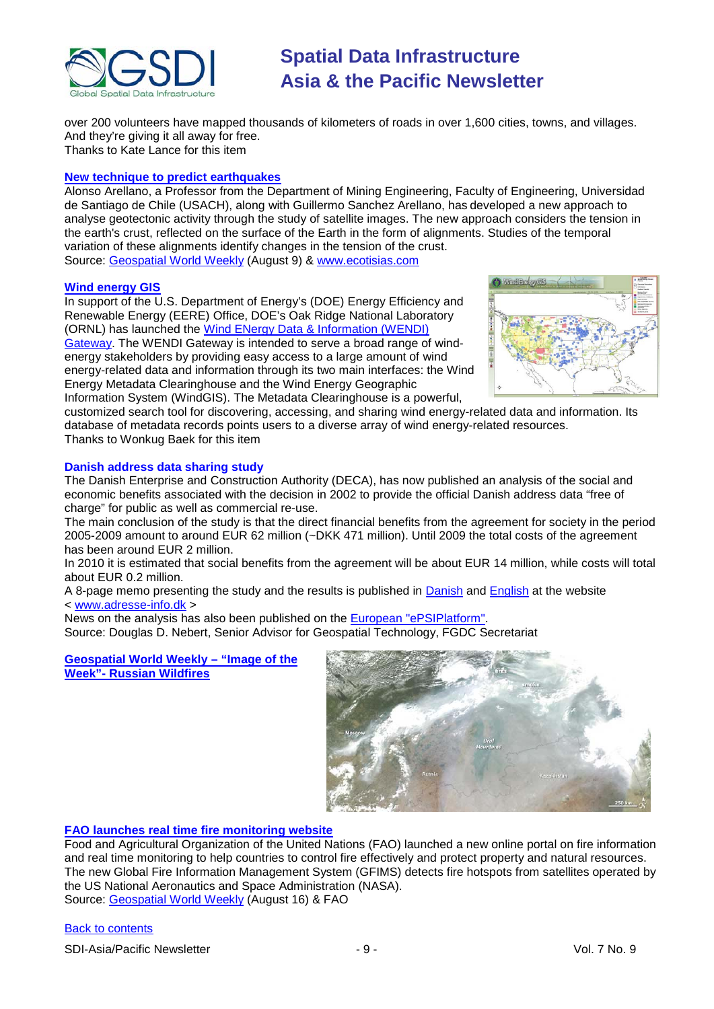

over 200 volunteers have mapped thousands of kilometers of roads in over 1,600 cities, towns, and villages. And they're giving it all away for free.

Thanks to Kate Lance for this item

## **[New technique to predict earthquakes](http://www.ecoticias.com/naturaleza/30194/noticias-medio-ambiente-medioambiente-medioambiental-ambiental-definicion-contaminacion-cambio-climatico-calentamiento-global-ecologia-ecosistema-impacto-politica-gestion-legislacion-educacion-responsabilidad)**

Alonso Arellano, a Professor from the Department of Mining Engineering, Faculty of Engineering, Universidad de Santiago de Chile (USACH), along with Guillermo Sanchez Arellano, has developed a new approach to analyse geotectonic activity through the study of satellite images. The new approach considers the tension in the earth's crust, reflected on the surface of the Earth in the form of alignments. Studies of the temporal variation of these alignments identify changes in the tension of the crust. Source: [Geospatial World Weekly](http://www.geospatialworld.net/index.php?option=com_content&view=article&id=18124%3Anew-technique-to-predict-earthquakes&catid=53%3Aapplication-natural-hazard-management&Itemid=1) (August 9) & [www.ecotisias.com](http://www.ecotisias.com/)

#### **[Wind energy GIS](http://windenergy.ornl.gov/gis)**

In support of the U.S. Department of Energy's (DOE) Energy Efficiency and Renewable Energy (EERE) Office, DOE's Oak Ridge National Laboratory (ORNL) has launched the [Wind ENergy Data & Information \(WENDI\)](http://windenergy.ornl.gov/)  [Gateway.](http://windenergy.ornl.gov/) The WENDI Gateway is intended to serve a broad range of windenergy stakeholders by providing easy access to a large amount of wind energy-related data and information through its two main interfaces: the Wind Energy Metadata Clearinghouse and the Wind Energy Geographic Information System (WindGIS). The Metadata Clearinghouse is a powerful,



customized search tool for discovering, accessing, and sharing wind energy-related data and information. Its database of metadata records points users to a diverse array of wind energy-related resources. Thanks to Wonkug Baek for this item

## **Danish address data sharing study**

The Danish Enterprise and Construction Authority (DECA), has now published an analysis of the social and economic benefits associated with the decision in 2002 to provide the official Danish address data "free of charge" for public as well as commercial re-use.

The main conclusion of the study is that the direct financial benefits from the agreement for society in the period 2005-2009 amount to around EUR 62 million (~DKK 471 million). Until 2009 the total costs of the agreement has been around EUR 2 million.

In 2010 it is estimated that social benefits from the agreement will be about EUR 14 million, while costs will total about EUR 0.2 million.

A 8-page memo presenting the study and the results is published in [Danish](http://www.adresse-info.dk/Portals/2/Benefit/Vaerdien_af_danske_adressedata_2010-07-07l.pdf) and [English](http://www.adresse-info.dk/Portals/2/Benefit/Value_Assessment_Danish_Address_Data_UK_2010-07-07b.pdf) at the website < [www.adresse-info.dk](http://www.adresse-info.dk/) >

News on the analysis has also been published on the [European "ePSIPlatform".](http://www.epsiplatform.eu/news/news/value_of_danish_address_data) Source: Douglas D. Nebert, Senior Advisor for Geospatial Technology, FGDC Secretariat

**[Geospatial World Weekly –](http://www.gisdevelopment.net/ezine/weekly/imgoftheweekaug1610.htm) "Image of the Week"- [Russian Wildfires](http://www.gisdevelopment.net/ezine/weekly/imgoftheweekaug1610.htm)**



# **[FAO launches real time fire monitoring website](http://www.fao.org/news/story/en/item/44613/icode/)**

Food and Agricultural Organization of the United Nations (FAO) launched a new online portal on fire information and real time monitoring to help countries to control fire effectively and protect property and natural resources. The new Global Fire Information Management System (GFIMS) detects fire hotspots from satellites operated by the US National Aeronautics and Space Administration (NASA). Source: [Geospatial World Weekly](http://www.geospatialworld.net/index.php?option=com_content&view=article&id=18188%3Afao-launches-real-time-fire-monitoring-website&catid=47%3Aproduct-surveying-mapping&Itemid=1) (August 16) & FAO

#### [Back to contents](#page-0-0)

SDI-Asia/Pacific Newsletter  $-9 -$  - 9 - Vol. 7 No. 9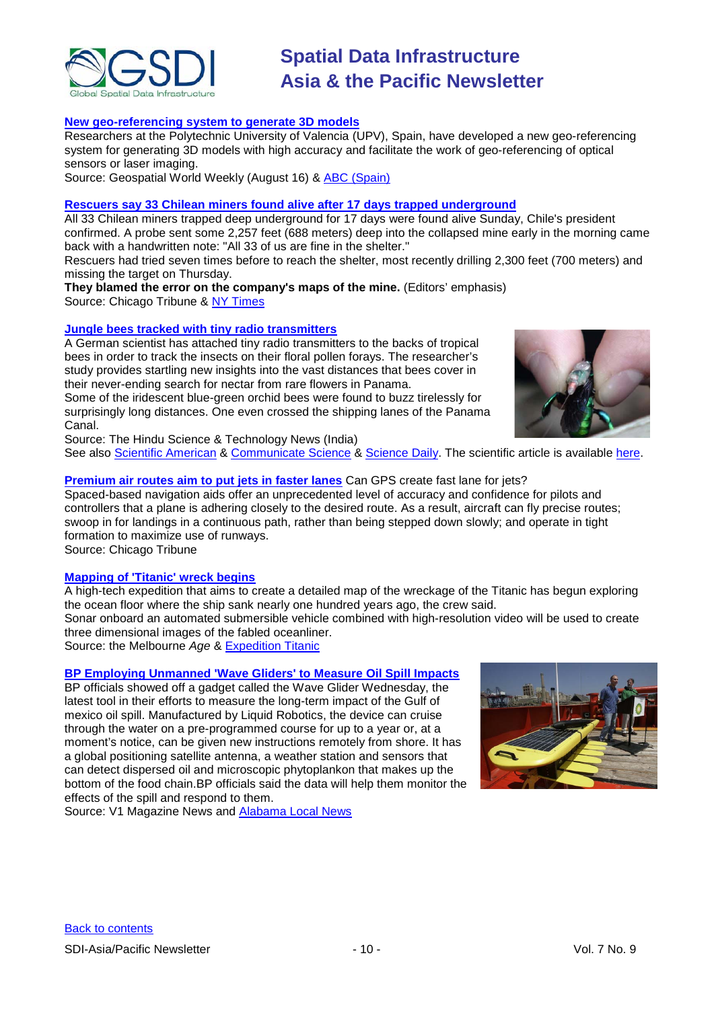

## **[New geo-referencing system to generate 3D models](http://www.geospatialworld.net/index.php?option=com_content&view=article&id=18190%3Anew-geo-referencing-system-to-generate-3d-models&catid=45%3Aproduct-digital-photogrammetry&Itemid=1)**

Researchers at the Polytechnic University of Valencia (UPV), Spain, have developed a new geo-referencing system for generating 3D models with high accuracy and facilitate the work of geo-referencing of optical sensors or laser imaging.

Source: Geospatial World Weekly (August 16) & **ABC** (Spain)

#### **[Rescuers say 33 Chilean miners found alive after 17](http://www.chicagotribune.com/news/nationworld/sns-ap-lt-chile-mine-collapse,0,1036401.story) days trapped underground**

All 33 [Chilean](http://www.chicagotribune.com/topic/intl/chile-PLGEO00000133.topic) miners trapped deep underground for 17 days were found alive Sunday, Chile's president confirmed. A probe sent some 2,257 feet (688 meters) deep into the collapsed mine early in the morning came back with a handwritten note: "All 33 of us are fine in the shelter."

Rescuers had tried seven times before to reach the shelter, most recently drilling 2,300 feet (700 meters) and missing the target on Thursday.

**They blamed the error on the company's maps of the mine.** (Editors' emphasis) Source: Chicago Tribune & [NY Times](http://www.nytimes.com/reuters/2010/08/22/world/americas/international-uk-chile-mine-accident.html?hp)

## **[Jungle bees tracked with tiny radio transmitters](http://www.thehindu.com/sci-tech/science/article573871.ece?homepage=true)**

A German scientist has attached tiny radio transmitters to the backs of tropical bees in order to track the insects on their floral pollen forays. The researcher's study provides startling new insights into the vast distances that bees cover in their never-ending search for nectar from rare flowers in Panama.

Some of the iridescent blue-green orchid bees were found to buzz tirelessly for surprisingly long distances. One even crossed the shipping lanes of the Panama Canal.

Source: The Hindu Science & Technology News (India)

See also [Scientific American](http://www.scientificamerican.com/blog/post.cfm?id=tiny-radio-transmitters-track-fligh-2010-05-27) & [Communicate Science](http://www.communicatescience.eu/2010/05/radio-transmitters-used-to-track-bees.html) & [Science Daily.](http://www.sciencedaily.com/releases/2010/05/100527013222.htm) The scientific article is available [here.](http://www.plosone.org/article/info%3Adoi%2F10.1371%2Fjournal.pone.0010738)

## **Premium air routes [aim to put jets in faster lanes](http://www.chicagotribune.com/business/ct-biz-adv-plane-navigation-20100828,0,2327185.story)** Can GPS create fast lane for jets?

Spaced-based navigation aids offer an unprecedented level of accuracy and confidence for pilots and controllers that a plane is adhering closely to the desired route. As a result, aircraft can fly precise routes; swoop in for landings in a continuous path, rather than being stepped down slowly; and operate in tight formation to maximize use of runways.

Source: Chicago Tribune

# **[Mapping of 'Titanic' wreck begins](http://www.theage.com.au/technology/technology-news/mapping-of-titanic-wreck-begins-20100827-13uqt.html)**

A high-tech expedition that aims to create a detailed map of the wreckage of the Titanic has begun exploring the ocean floor where the ship sank nearly one hundred years ago, the crew said.

Sonar onboard an automated submersible vehicle combined with high-resolution video will be used to create three dimensional images of the fabled oceanliner.

Source: the Melbourne *Age* & [Expedition Titanic](http://www.expeditiontitanic.com/)

# **[BP Employing Unmanned 'Wave Gliders' to Measure](http://www.vector1media.com/news/headlines/15040-bp-employing-unmanned-wave-gliders-to-measure-oil-spill-impacts) Oil Spill Impacts**

BP officials showed off a gadget called the Wave Glider Wednesday, the latest tool in their efforts to measure the long-term impact of the Gulf of mexico oil spill. Manufactured by [Liquid Robotics,](http://www.liquidr.com/) the device can cruise through the water on a pre-programmed course for up to a year or, at a moment's notice, can be given new instructions remotely from shore. It has a global positioning satellite antenna, a weather station and sensors that can detect dispersed oil and microscopic phytoplankon that makes up the bottom of the food chain.BP officials said the data will help them monitor the effects of the spill and respond to them.

Source: V1 Magazine News and **Alabama Local News** 



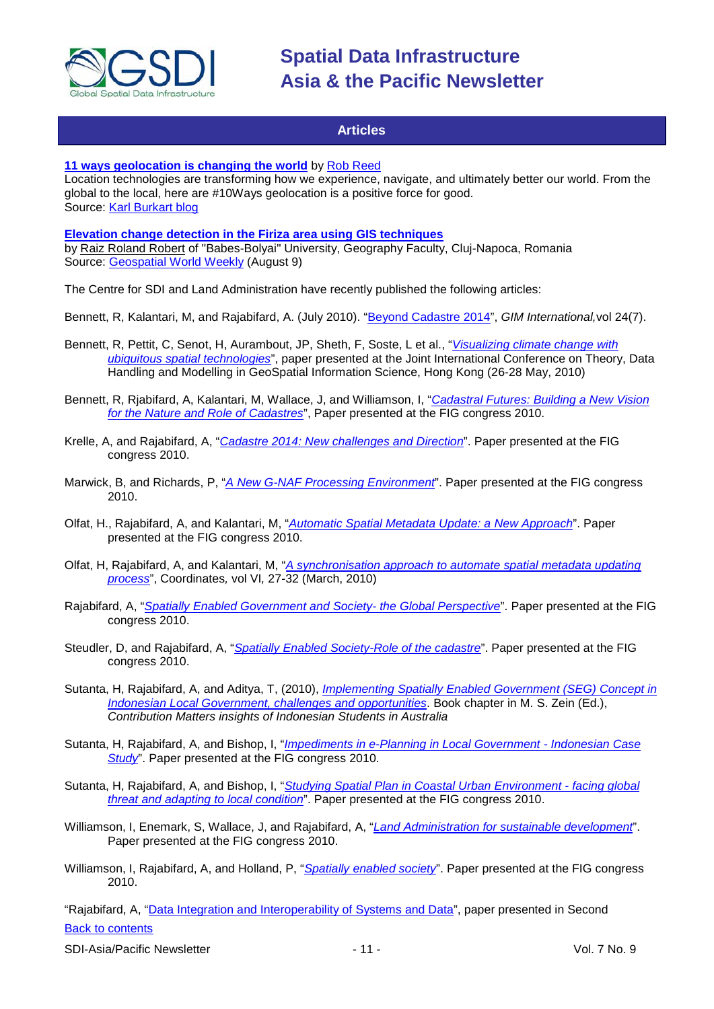

# **Articles**

#### <span id="page-10-0"></span>**11 ways geolocation [is changing the world](http://www.mnn.com/green-tech/gadgets-electronics/blogs/11-ways-geolocation-is-changing-the-world)** by [Rob Reed](http://www.linkedin.com/in/maxgladwell)

Location technologies are transforming how we experience, navigate, and ultimately better our world. From the global to the local, here are #10Ways geolocation is a positive force for good. Source: [Karl Burkart blog](http://www.mnn.com/featured-blogs/greentechnology)

# **[Elevation change detection in the Firiza area using GIS techniques](http://geospatialworld.net/index.php?option=com_content&view=article&id=18161%3Aelevation-change-detection-in-the-firiza-area-using-gis-techniques&catid=110%3Aapplication-miscellaneous&Itemid=41)**

by [Raiz Roland Robert](mailto:raizrobert@gmail.com) of "Babes-Bolyai" University, Geography Faculty, Cluj-Napoca, Romania Source: [Geospatial World Weekly](http://www.geospatialworld.net/) (August 9)

The Centre for SDI and Land Administration have recently published the following articles:

Bennett, R, Kalantari, M, and Rajabifard, A. (July 2010). ["Beyond Cadastre 2014"](http://www.csdila.unimelb.edu.au/publication/misc/beyond_cadastre2014_GIM_international.pdf), *GIM International,*vol 24(7).

- Bennett, R, Pettit, C, Senot, H, Aurambout, JP, Sheth, F, Soste, L et al., "*[Visualizing climate change with](http://www.csdila.unimelb.edu.au/publication/conferences/Visualizing_Climate_Change_Impact_with_Ubiquitous.pdf)  [ubiquitous spatial technologies](http://www.csdila.unimelb.edu.au/publication/conferences/Visualizing_Climate_Change_Impact_with_Ubiquitous.pdf)*", paper presented at the Joint International Conference on Theory, Data Handling and Modelling in GeoSpatial Information Science, Hong Kong (26-28 May, 2010)
- Bennett, R, Rjabifard, A, Kalantari, M, Wallace, J, and Williamson, I, "*[Cadastral Futures: Building a New Vision](http://www.csdila.unimelb.edu.au/publication/conferences/Fig2010/CadastralFutures-Building_aNewVision_for%20_the_Nature%20_and_Role_of_Cadastres.pdf)  [for the Nature and Role of Cadastres](http://www.csdila.unimelb.edu.au/publication/conferences/Fig2010/CadastralFutures-Building_aNewVision_for%20_the_Nature%20_and_Role_of_Cadastres.pdf)*", Paper presented at the FIG congress 2010.
- Krelle, A, and Rajabifard, A, "*[Cadastre 2014: New challenges and Direction](http://www.csdila.unimelb.edu.au/publication/conferences/Fig2010/CADASTRE%202014_New%20Challenges%20and%20Direction.pdf)*". Paper presented at the FIG congress 2010.
- Marwick, B, and Richards, P, "*[A New G-NAF Processing Environment](http://www.csdila.unimelb.edu.au/publication/conferences/Fig2010/ANewG-NAF_ProcessingEnvironment.pdf)*". Paper presented at the FIG congress 2010.
- Olfat, H., Rajabifard, A, and Kalantari, M, "*[Automatic Spatial Metadata Update: a New Approach](http://www.csdila.unimelb.edu.au/publication/conferences/Fig2010/Automatic_Spatial_Metadata_Update_%20ANew_Approach.pdf)*". Paper presented at the FIG congress 2010.
- Olfat, H, Rajabifard, A, and Kalantari, M, "*A synchronisation approach to automate spatial metadata updating process*", Coordinates*,* vol VI*,* 27-32 (March, 2010)
- Rajabifard, A, "*[Spatially Enabled Government and Society-](http://www.csdila.unimelb.edu.au/publication/conferences/Fig2010/SpatiallyEnabledGovernmentandSociety_the%20Global_Perspective.pdf) the Global Perspective*". Paper presented at the FIG congress 2010.
- Steudler, D, and Rajabifard, A, "*[Spatially Enabled Society-Role of the cadastre](http://www.csdila.unimelb.edu.au/publication/conferences/Fig2010/SpatiallyEnabledSociety_RoleoftheCadastre.pdf)*". Paper presented at the FIG congress 2010.
- Sutanta, H, Rajabifard, A, and Aditya, T, (2010), *[Implementing Spatially Enabled Government \(SEG\) Concept in](http://www.csdila.unimelb.edu.au/publication/misc/Implementing%20Spatially%20Enabled%20Government.pdf)  [Indonesian Local Government, challenges and opportunities](http://www.csdila.unimelb.edu.au/publication/misc/Implementing%20Spatially%20Enabled%20Government.pdf)*. Book chapter in M. S. Zein (Ed.), *Contribution Matters insights of Indonesian Students in Australia*
- Sutanta, H, Rajabifard, A, and Bishop, I, "*[Impediments in e-Planning in Local Government -](http://www.csdila.unimelb.edu.au/publication/conferences/Fig2010/Impediments_in_e-Planning_in_LocalGovernment-Indonesian%20Case%20Study.pdf) Indonesian Case [Study](http://www.csdila.unimelb.edu.au/publication/conferences/Fig2010/Impediments_in_e-Planning_in_LocalGovernment-Indonesian%20Case%20Study.pdf)*". Paper presented at the FIG congress 2010.
- Sutanta, H, Rajabifard, A, and Bishop, I, "*[Studying Spatial Plan in Coastal Urban Environment -](http://www.csdila.unimelb.edu.au/publication/conferences/Fig2010/Studying%20Spatial%20Plan%20in%20Coastal%20Urban%20Environment.pdf) facing global [threat and adapting to local condition](http://www.csdila.unimelb.edu.au/publication/conferences/Fig2010/Studying%20Spatial%20Plan%20in%20Coastal%20Urban%20Environment.pdf)*". Paper presented at the FIG congress 2010.
- Williamson, I, Enemark, S, Wallace, J, and Rajabifard, A, "*[Land Administration for sustainable development](http://www.csdila.unimelb.edu.au/publication/conferences/Fig2010/LandAdministrationforSustainable_Development.pdf)*". Paper presented at the FIG congress 2010.
- Williamson, I, Rajabifard, A, and Holland, P, "*[Spatially enabled society](http://www.csdila.unimelb.edu.au/publication/conferences/Fig2010/Spatially_Enabled_Society_fig2010.pdf)*". Paper presented at the FIG congress 2010.

[Back to contents](#page-0-0) "Rajabifard, A, ["Data Integration and Interoperability of Systems and Data"](http://www.csdila.unimelb.edu.au/publication/conferences/GSDI%20scoping%20paper-Abbad%20Rajabifard%202nd%20UNCGGIM%20meeting.pdf), paper presented in Second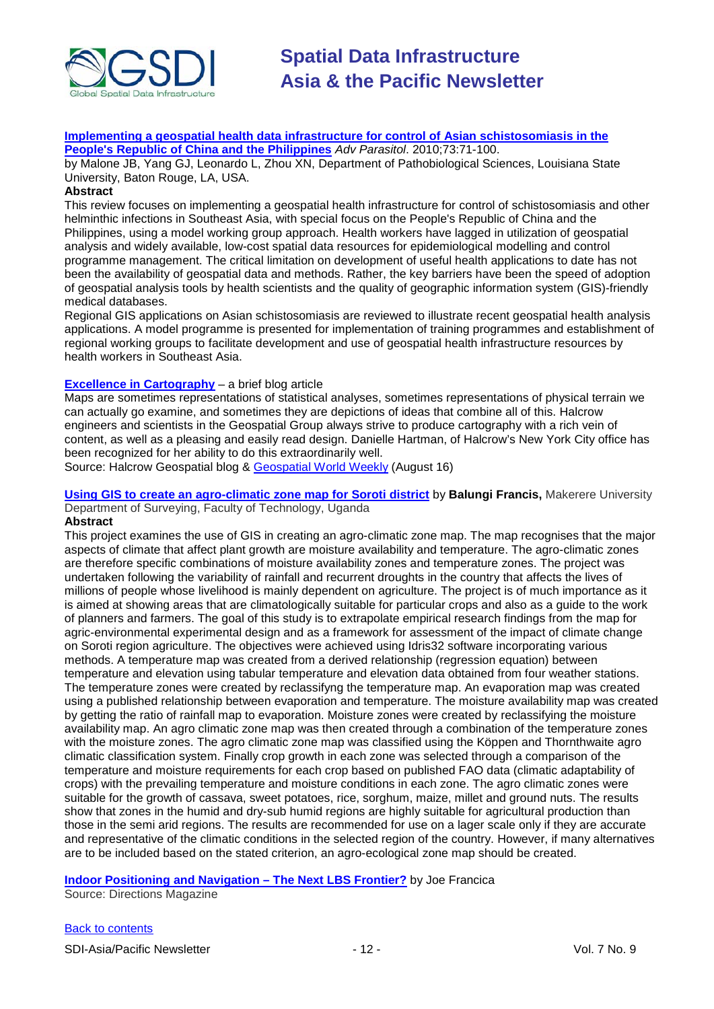

**[Implementing a geospatial health data infrastructure for control of Asian schistosomiasis in the](http://www.ncbi.nlm.nih.gov/pubmed/20627140)  [People's Republic of China and the Philippines](http://www.ncbi.nlm.nih.gov/pubmed/20627140)** *Adv Parasitol*. 2010;73:71-100.

by Malone JB, Yang GJ, Leonardo L, Zhou XN, Department of Pathobiological Sciences, Louisiana State University, Baton Rouge, LA, USA.

# **Abstract**

This review focuses on implementing a geospatial health infrastructure for control of schistosomiasis and other helminthic infections in Southeast Asia, with special focus on the People's Republic of China and the Philippines, using a model working group approach. Health workers have lagged in utilization of geospatial analysis and widely available, low-cost spatial data resources for epidemiological modelling and control programme management. The critical limitation on development of useful health applications to date has not been the availability of geospatial data and methods. Rather, the key barriers have been the speed of adoption of geospatial analysis tools by health scientists and the quality of geographic information system (GIS)-friendly medical databases.

Regional GIS applications on Asian schistosomiasis are reviewed to illustrate recent geospatial health analysis applications. A model programme is presented for implementation of training programmes and establishment of regional working groups to facilitate development and use of geospatial health infrastructure resources by health workers in Southeast Asia.

## **[Excellence in Cartography](http://blogs.halcrow.com/geospatial/?p=169)** – a brief blog article

Maps are sometimes representations of statistical analyses, sometimes representations of physical terrain we can actually go examine, and sometimes they are depictions of ideas that combine all of this. Halcrow engineers and scientists in the Geospatial Group always strive to produce cartography with a rich vein of content, as well as a pleasing and easily read design. Danielle Hartman, of Halcrow's New York City office has been recognized for her ability to do this extraordinarily well.

Source: Halcrow Geospatial blog & [Geospatial World Weekly](http://www.gisdevelopment.net/ezine/weekly/aug1610.htm) (August 16)

**[Using GIS to create an agro-climatic zone map for Soroti district](http://geospatialworld.net/index.php?option=com_content&view=article&id=18200%3Ausing-gis-to-create-an-agro-climatic-zone-map-for-soroti-district&catid=111%3Aagriculture-overview&Itemid=41)** by **Balungi Francis,** Makerere University Department of Surveying, Faculty of Technology, Uganda

#### **Abstract**

This project examines the use of GIS in creating an agro-climatic zone map. The map recognises that the major aspects of climate that affect plant growth are moisture availability and temperature. The agro-climatic zones are therefore specific combinations of moisture availability zones and temperature zones. The project was undertaken following the variability of rainfall and recurrent droughts in the country that affects the lives of millions of people whose livelihood is mainly dependent on agriculture. The project is of much importance as it is aimed at showing areas that are climatologically suitable for particular crops and also as a guide to the work of planners and farmers. The goal of this study is to extrapolate empirical research findings from the map for agric-environmental experimental design and as a framework for assessment of the impact of climate change on Soroti region agriculture. The objectives were achieved using Idris32 software incorporating various methods. A temperature map was created from a derived relationship (regression equation) between temperature and elevation using tabular temperature and elevation data obtained from four weather stations. The temperature zones were created by reclassifyng the temperature map. An evaporation map was created using a published relationship between evaporation and temperature. The moisture availability map was created by getting the ratio of rainfall map to evaporation. Moisture zones were created by reclassifying the moisture availability map. An agro climatic zone map was then created through a combination of the temperature zones with the moisture zones. The agro climatic zone map was classified using the Köppen and Thornthwaite agro climatic classification system. Finally crop growth in each zone was selected through a comparison of the temperature and moisture requirements for each crop based on published FAO data (climatic adaptability of crops) with the prevailing temperature and moisture conditions in each zone. The agro climatic zones were suitable for the growth of cassava, sweet potatoes, rice, sorghum, maize, millet and ground nuts. The results show that zones in the humid and dry-sub humid regions are highly suitable for agricultural production than those in the semi arid regions. The results are recommended for use on a lager scale only if they are accurate and representative of the climatic conditions in the selected region of the country. However, if many alternatives are to be included based on the stated criterion, an agro-ecological zone map should be created.

## **[Indoor Positioning and Navigation –](http://www.directionsmag.com/articles/indoor-positioning-and-navigation-the-next-lbs-frontier/129925) The Next LBS Frontier?** by [Joe Francica](http://www.directionsmag.com/authors/joe-francica/121701)

Source: Directions Magazine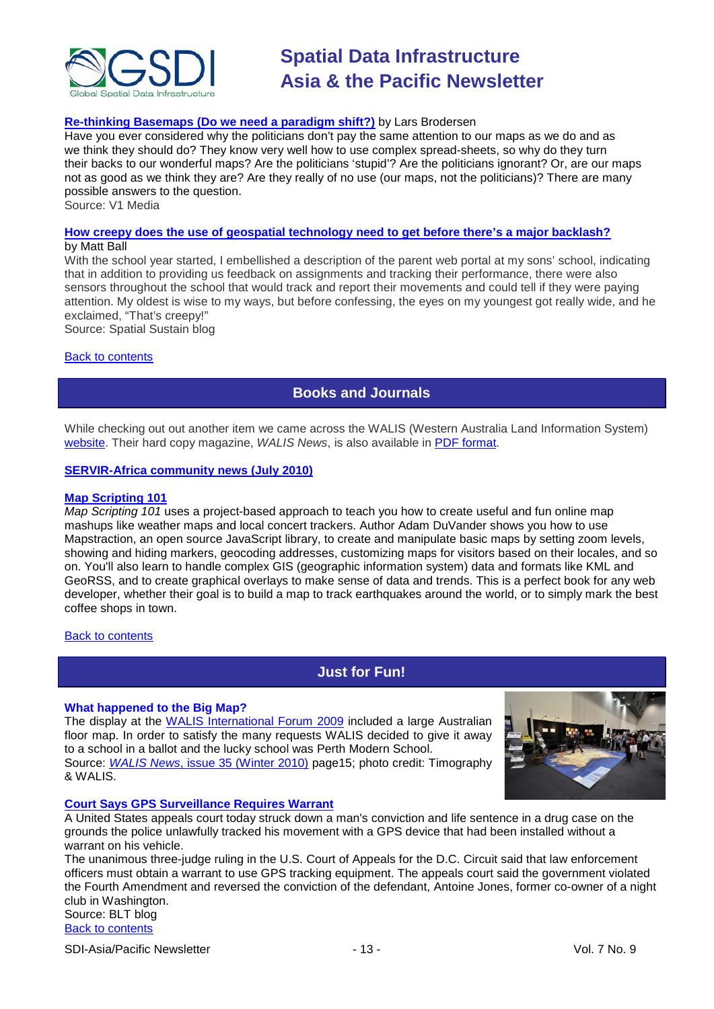

# **[Re-thinking Basemaps \(Do we need a paradigm shift?\)](http://www.vector1media.com/articles/columns/14827-re-thinking-basemaps-do-we-need-a-paradigm-shift)** by Lars Brodersen

Have you ever considered why the politicians don't pay the same attention to our maps as we do and as we think they should do? They know very well how to use complex spread-sheets, so why do they turn their backs to our wonderful maps? Are the politicians 'stupid'? Are the politicians ignorant? Or, are our maps not as good as we think they are? Are they really of no use (our maps, not the politicians)? There are many possible answers to the question.

Source: V1 Media

#### **[How creepy does the use of geospatial technology need to get before there's a major backlash?](http://vector1media.com/spatialsustain/how-creepy-does-geospatial-technology-need-to-get-before-theres-a-major-backlash.html)** by Matt Ball

With the school year started, I embellished a description of the parent web portal at my sons' school, indicating that in addition to providing us feedback on assignments and tracking their performance, there were also sensors throughout the school that would track and report their movements and could tell if they were paying attention. My oldest is wise to my ways, but before confessing, the eyes on my youngest got really wide, and he exclaimed, "That's creepy!"

Source: Spatial Sustain blog

#### <span id="page-12-0"></span>[Back to contents](#page-0-0)

# **Books and Journals**

While checking out out another item we came across the WALIS (Western Australia Land Information System) [website.](http://www.walis.wa.gov.au/) Their hard copy magazine, *WALIS News*, is also available in [PDF format.](http://www.walis.wa.gov.au/news/walis_news)

## **[SERVIR-Africa community news \(July 2010\)](http://www.servir.net/africa/index.php?option=com_mamblog&Itemid=54&task=show&action=all&id=0&ignorecount=1)**

#### **[Map Scripting 101](http://oreilly.com/catalog/9781593272715/?utm_content=em-no-pr-Map+Scripting+101&utm_campaign=No+Starch+Press&utm_source=iPost&utm_medium=email&imm_mid=061628&cmp=em-no-pr-Map+Scripting+101)**

*Map Scripting 101* uses a project-based approach to teach you how to create useful and fun online map mashups like weather maps and local concert trackers. Author Adam DuVander shows you how to use Mapstraction, an open source JavaScript library, to create and manipulate basic maps by setting zoom levels, showing and hiding markers, geocoding addresses, customizing maps for visitors based on their locales, and so on. You'll also learn to handle complex GIS (geographic information system) data and formats like KML and GeoRSS, and to create graphical overlays to make sense of data and trends. This is a perfect book for any web developer, whether their goal is to build a map to track earthquakes around the world, or to simply mark the best coffee shops in town.

#### <span id="page-12-1"></span>**[Back to contents](#page-0-0)**

# **Just for Fun!**

#### **What happened to the Big Map?**

The display at the [WALIS International Forum 2009](http://www.walis.wa.gov.au/forum/froum-2009-photos) included a large Australian floor map. In order to satisfy the many requests WALIS decided to give it away to a school in a ballot and the lucky school was Perth Modern School. Source: *WALIS News*[, issue 35 \(Winter 2010\)](http://www.walis.wa.gov.au/news/walis_news) page15; photo credit: Timography & WALIS.



#### **[Court Says GPS Surveillance Requires Warrant](http://legaltimes.typepad.com/blt/2010/08/dc-circuit-gps-police-surveillance-requires-warrant.html)**

A United States appeals court today struck down a man's conviction and life sentence in a drug case on the grounds the police unlawfully tracked his movement with a GPS device that had been installed without a warrant on his vehicle.

The unanimous three-judge ruling in the U.S. Court of Appeals for the D.C. Circuit said that law enforcement officers must obtain a warrant to use GPS tracking equipment. The appeals court said the government violated the Fourth Amendment and reversed the conviction of the defendant, Antoine Jones, former co-owner of a night club in Washington.

[Back to contents](#page-0-0) Source: BLT blog

SDI-Asia/Pacific Newsletter  $\sim$  13 - 13 - Vol. 7 No. 9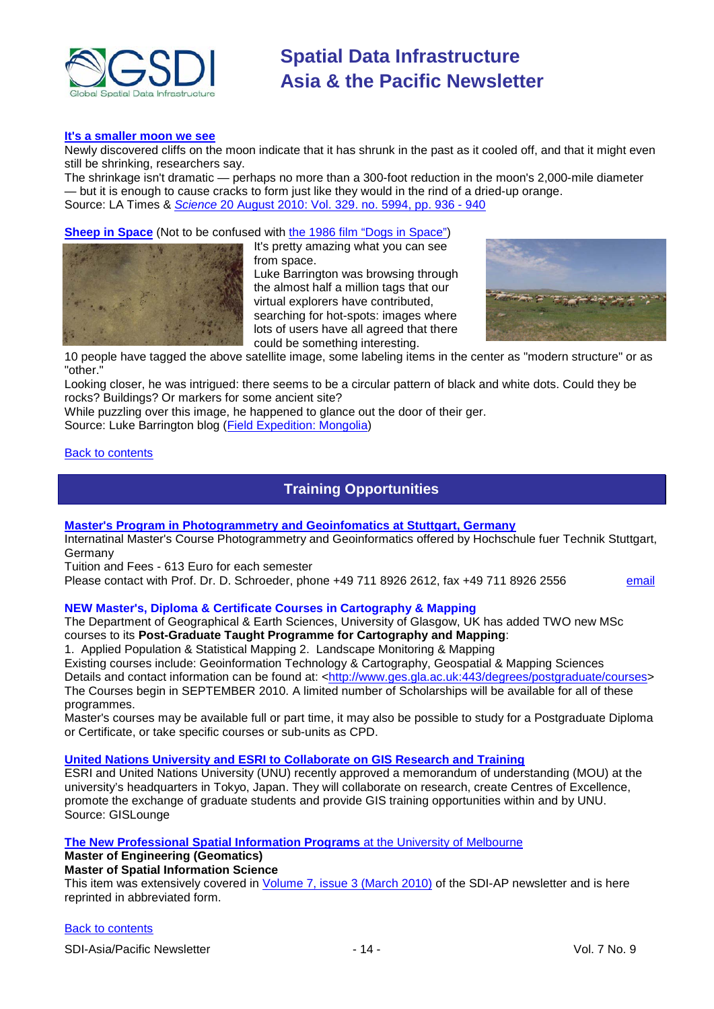

#### **[It's a smaller moon we see](http://www.latimes.com/news/science/la-sci-moon-shrinks-20100821,0,7141191.story)**

Newly discovered cliffs on the moon indicate that it has shrunk in the past as it cooled off, and that it might even still be shrinking, researchers say.

The shrinkage isn't dramatic — perhaps no more than a 300-foot reduction in the moon's 2,000-mile diameter — but it is enough to cause cracks to form just like they would in the rind of a dried-up orange. Source: LA Times & *Science* [20 August 2010: Vol. 329. no. 5994, pp. 936 -](http://www.sciencemag.org/cgi/content/abstract/sci;329/5994/936?maxtoshow=&hits=10&RESULTFORMAT=&fulltext=thomas+watters&searchid=1&FIR) 940

#### **[Sheep in Space](http://exploration.nationalgeographic.com/mongolia/content/sheep-space)** (Not to be confused with [the 1986 film "Dogs in Space"\)](http://en.wikipedia.org/wiki/Dogs_in_Space)



It's pretty amazing what you can see from space. Luke Barrington was browsing through the almost half a million tags that our virtual explorers have contributed, searching for hot-spots: images where lots of users have all agreed that there could be something interesting.



10 people have tagged the above satellite image, some labeling items in the center as "modern structure" or as "other."

Looking closer, he was intrigued: there seems to be a circular pattern of black and white dots. Could they be rocks? Buildings? Or markers for some ancient site?

While puzzling over this image, he happened to glance out the door of their ger.

Source: Luke Barrington blog [\(Field Expedition: Mongolia\)](http://exploration.nationalgeographic.com/mongolia/home)

#### <span id="page-13-0"></span>[Back to contents](#page-0-0)

# **Training Opportunities**

#### **Master's Program [in Photogrammetry and Geoinfomatics at Stuttgart, Germany](http://www.hft-stuttgart.de/)**

Internatinal Master's Course Photogrammetry and Geoinformatics offered by Hochschule fuer Technik Stuttgart, **Germany** 

Tuition and Fees - 613 Euro for each semester

Please contact with Prof. Dr. D. Schroeder, phone +49 711 8926 2612, fax +49 711 8926 2556 [email](mailto:MSc-Manager@hft-stuttgart.de)

## **NEW Master's, Diploma & Certificate Courses in Cartography & Mapping**

The Department of Geographical & Earth Sciences, University of Glasgow, UK has added TWO new MSc courses to its **Post-Graduate Taught Programme for Cartography and Mapping**:

1. Applied Population & Statistical Mapping 2. Landscape Monitoring & Mapping

Existing courses include: Geoinformation Technology & Cartography, Geospatial & Mapping Sciences Details and contact information can be found at: [<http://www.ges.gla.ac.uk:443/degrees/postgraduate/courses>](http://www.ges.gla.ac.uk:443/degrees/postgraduate/courses) The Courses begin in SEPTEMBER 2010. A limited number of Scholarships will be available for all of these programmes.

Master's courses may be available full or part time, it may also be possible to study for a Postgraduate Diploma or Certificate, or take specific courses or sub-units as CPD.

#### **[United Nations University and ESRI to Collaborate on GIS Research and Training](http://news.gislounge.com/2010/02/united-nations-university-and-esri-to-collaborate-on-gis-research-and-training/?utm_source=feedburner&utm_medium=feed&utm_campaign=Feed%3A+GeospatialPressReleases+%28Geospatial+Press+Releases%29)**

ESRI and United Nations University (UNU) recently approved a memorandum of understanding (MOU) at the university's headquarters in Tokyo, Japan. They will collaborate on research, create Centres of Excellence, promote the exchange of graduate students and provide GIS training opportunities within and by UNU. Source: GISLounge

# **[The New Professional Spatial Information Programs](http://www.geom.unimelb.edu.au/future/masters.html)** at the [University of Melbourne](http://www.unimelb.edu.au/)

# **Master of Engineering (Geomatics)**

# **Master of Spatial Information Science**

This item was extensively covered in [Volume 7, issue 3 \(March 2010\)](http://portal.gsdi.org/files/?artifact_id=688) of the SDI-AP newsletter and is here reprinted in abbreviated form.

#### [Back to contents](#page-0-0)

SDI-Asia/Pacific Newsletter  $\overline{ }$  - 14 -  $\overline{ }$  - 14 - Vol. 7 No. 9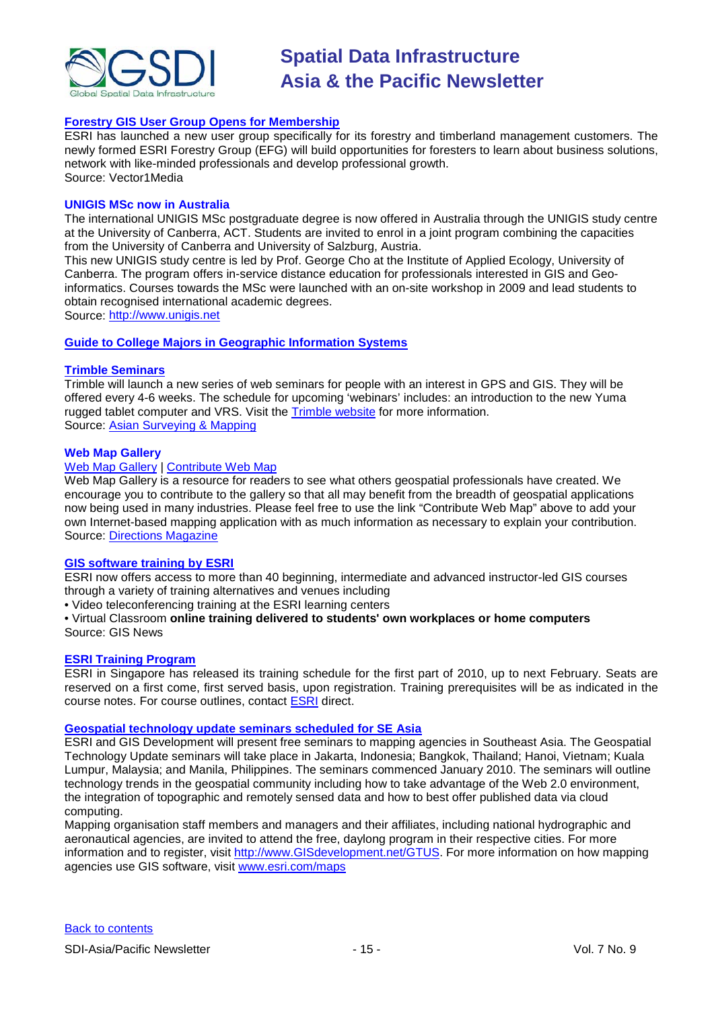

# **[Forestry GIS User Group Opens for Membership](http://www.vector1media.com/news/top-stories/53-corporate-news/8187-forestry-gis-user-group-opens-for-membership)**

ESRI has launched a new user group specifically for its forestry and timberland management customers. The newly formed ESRI Forestry Group (EFG) will build opportunities for foresters to learn about business solutions, network with like-minded professionals and develop professional growth. Source: Vector1Media

#### **UNIGIS MSc now in Australia**

The international UNIGIS MSc postgraduate degree is now offered in Australia through the UNIGIS study centre at the University of Canberra, ACT. Students are invited to enrol in a joint program combining the capacities from the University of Canberra and University of Salzburg, Austria.

This new UNIGIS study centre is led by Prof. George Cho at the Institute of Applied Ecology, University of Canberra. The program offers in-service distance education for professionals interested in GIS and Geoinformatics. Courses towards the MSc were launched with an on-site workshop in 2009 and lead students to obtain recognised international academic degrees.

Source: [http://www.unigis.net](http://www.unigis.net/)

#### **[Guide to College Majors in Geographic Information Systems](http://www.worldwidelearn.com/online-education-guide/science/gis-major.htm)**

#### **[Trimble Seminars](http://www.trimble.com/mgis/webinars.shtml)**

Trimble will launch a new series of web seminars for people with an interest in GPS and GIS. They will be offered every 4-6 weeks. The schedule for upcoming 'webinars' includes: an introduction to the new Yuma rugged tablet computer and VRS. Visit the [Trimble website](http://www.trimble.com/mgis/webinars.shtml) for more information. Source: [Asian Surveying & Mapping](http://www.asmmag.com/news)

#### **Web Map Gallery**

#### [Web Map Gallery](http://www.directionsmag.com/webmapgallery/) | [Contribute Web Map](http://www.directionsmag.com/webmapgallery/?duty=Contribute)

Web Map Gallery is a resource for readers to see what others geospatial professionals have created. We encourage you to contribute to the gallery so that all may benefit from the breadth of geospatial applications now being used in many industries. Please feel free to use the link "Contribute Web Map" above to add your own Internet-based mapping application with as much information as necessary to explain your contribution. Source: [Directions Magazine](http://www.directionsmag.com/webmapgallery/)

#### **[GIS software training by ESRI](http://training.esri.com/gateway/index.cfm?fa=trainingOptions.gateway)**

ESRI now offers access to more than 40 beginning, intermediate and advanced instructor-led GIS courses through a variety of training alternatives and venues including

• Video teleconferencing training at the ESRI learning centers

• Virtual Classroom **online training delivered to students' own workplaces or home computers** Source: GIS News

#### **[ESRI Training Program](http://www.esrisingapore.com.sg/training.html)**

ESRI in Singapore has released its training schedule for the first part of 2010, up to next February. Seats are reserved on a first come, first served basis, upon registration. Training prerequisites will be as indicated in the course notes. For course outlines, contact **ESRI** direct.

#### **[Geospatial technology update seminars scheduled for SE Asia](http://www.esri.com/news/releases/10_1qtr/geo-tech.html)**

ESRI and GIS Development will present free seminars to mapping agencies in Southeast Asia. The Geospatial Technology Update seminars will take place in Jakarta, Indonesia; Bangkok, Thailand; Hanoi, Vietnam; Kuala Lumpur, Malaysia; and Manila, Philippines. The seminars commenced January 2010. The seminars will outline technology trends in the geospatial community including how to take advantage of the Web 2.0 environment, the integration of topographic and remotely sensed data and how to best offer published data via cloud computing.

Mapping organisation staff members and managers and their affiliates, including national hydrographic and aeronautical agencies, are invited to attend the free, daylong program in their respective cities. For more information and to register, visit [http://www.GISdevelopment.net/GTUS.](http://www.gisdevelopment.net/GTUS) For more information on how mapping agencies use GIS software, visit [www.esri.com/maps](http://www.esri.com/maps)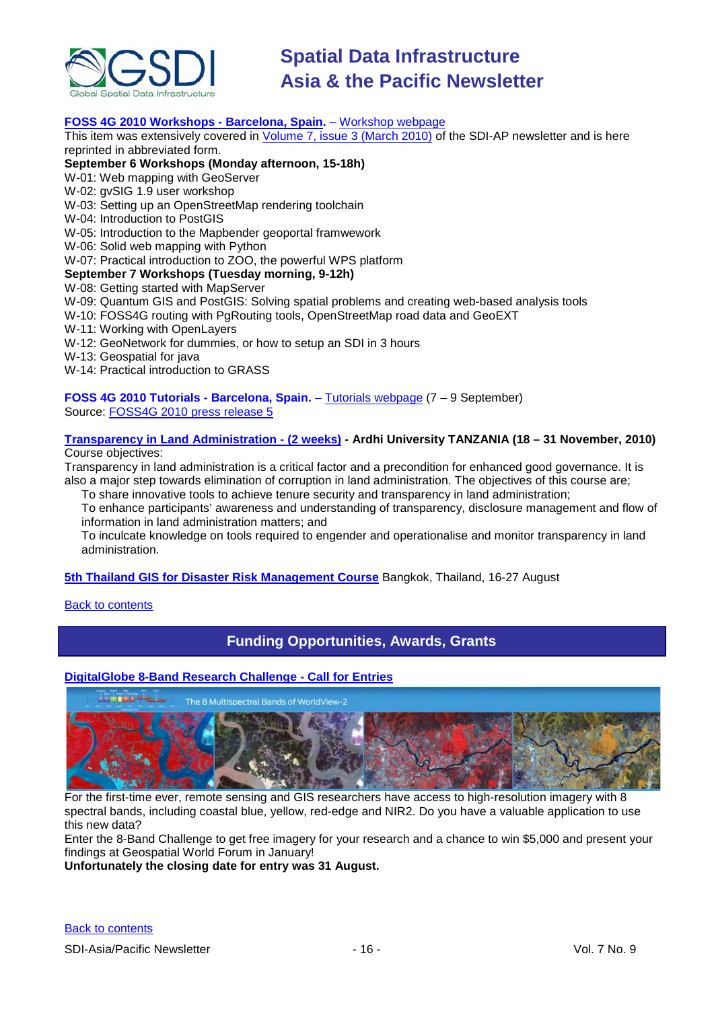

# **[FOSS 4G 2010 Workshops -](http://2010.foss4g.org/) Barcelona, Spain.** – [Workshop webpage](http://2010.foss4g.org/workshop02.php)

This item was extensively covered in [Volume 7, issue 3 \(March 2010\)](http://portal.gsdi.org/files/?artifact_id=688) of the SDI-AP newsletter and is here reprinted in abbreviated form.

## **September 6 Workshops (Monday afternoon, 15-18h)**

W-01: Web mapping with GeoServer

W-02: gvSIG 1.9 user workshop

W-03: Setting up an OpenStreetMap rendering toolchain

W-04: Introduction to PostGIS

W-05: Introduction to the Mapbender geoportal framwework

W-06: Solid web mapping with Python

W-07: Practical introduction to ZOO, the powerful WPS platform

## **September 7 Workshops (Tuesday morning, 9-12h)**

W-08: Getting started with MapServer

W-09: Quantum GIS and PostGIS: Solving spatial problems and creating web-based analysis tools

W-10: FOSS4G routing with PgRouting tools, OpenStreetMap road data and GeoEXT

- W-11: Working with OpenLayers
- W-12: GeoNetwork for dummies, or how to setup an SDI in 3 hours

W-13: Geospatial for java

W-14: Practical introduction to GRASS

**FOSS 4G 2010 Tutorials - Barcelona, Spain.** – [Tutorials webpage](http://2010.foss4g.org/tutorial01.php) (7 – 9 September) Source: FOSS4G [2010 press release 5](http://wiki.osgeo.org/wiki/FOSS4G_2010_Press_Release_5)

#### **[Transparency in Land Administration -](http://www.aru.ac.tz/page.php?id=136) (2 weeks) - Ardhi University TANZANIA (18 – 31 November, 2010)** Course objectives:

Transparency in land administration is a critical factor and a precondition for enhanced good governance. It is also a major step towards elimination of corruption in land administration. The objectives of this course are;

To share innovative tools to achieve tenure security and transparency in land administration; To enhance participants' awareness and understanding of transparency, disclosure management and flow of information in land administration matters; and

To inculcate knowledge on tools required to engender and operationalise and monitor transparency in land administration.

**[5th Thailand GIS for Disaster Risk Management Course](http://www.adpc.net/v2007/TRG/TRAINING%20COURSES/INTERNATIONAL%20COURSES/2010/GIS/Default.asp)** Bangkok, Thailand, 16-27 August

#### <span id="page-15-0"></span>[Back to contents](#page-0-0)

# **Funding Opportunities, Awards, Grants**

# **[DigitalGlobe 8-Band Research Challenge -](http://dgl.us.neolane.net/res/dgl/survey/_8bandchallenge.jsp?deliveryId=10719732) Call for Entries**



For the first-time ever, remote sensing and GIS researchers have access to high-resolution imagery with 8 spectral bands, including coastal blue, yellow, red-edge and NIR2. Do you have a valuable application to use this new data?

Enter the 8-Band Challenge to get free imagery for your research and a chance to win \$5,000 and present your findings at Geospatial World Forum in January!

**Unfortunately the closing date for entry was 31 August.**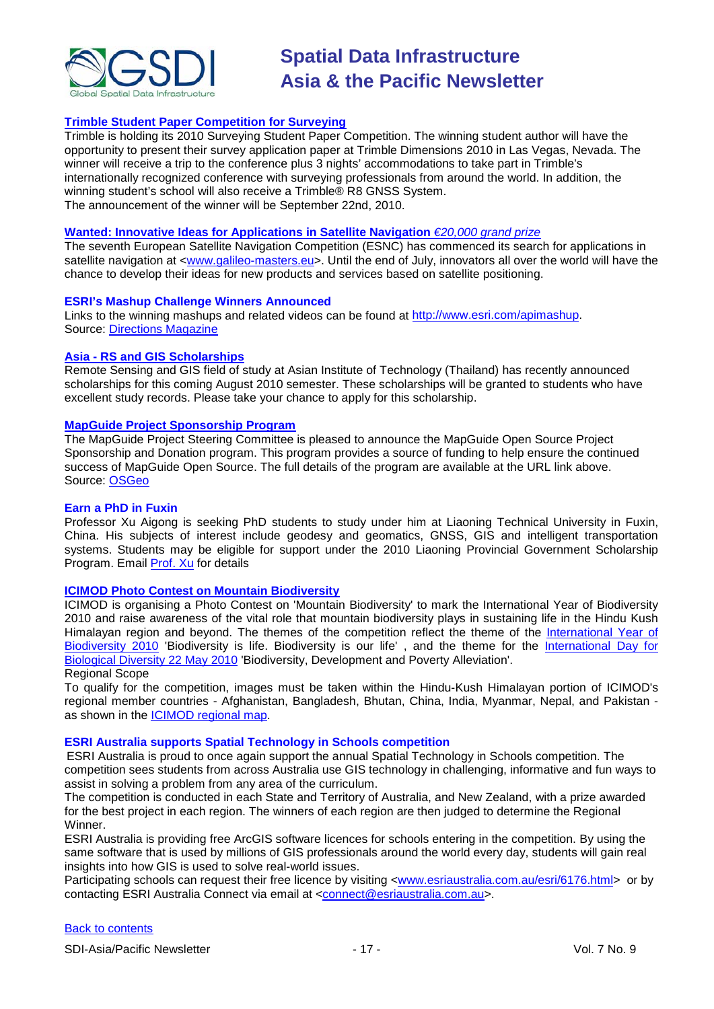

# **[Trimble Student Paper Competition for Surveying](http://www.trimbledimensions.com/StudentPaperPromotion/default.aspx)**

Trimble is holding its 2010 Surveying Student Paper Competition. The winning student author will have the opportunity to present their survey application paper at Trimble Dimensions 2010 in Las Vegas, Nevada. The winner will receive a trip to the conference plus 3 nights' accommodations to take part in Trimble's internationally recognized conference with surveying professionals from around the world. In addition, the winning student's school will also receive a Trimble® R8 GNSS System. The announcement of the winner will be September 22nd, 2010.

#### **Wanted: Innovative [Ideas for Applications in Satellite Navigation](http://www.galileo-masters.eu/index.php?kat=press.html&anzeige=press27.html)** *€20,000 grand prize*

The seventh European Satellite Navigation Competition (ESNC) has commenced its search for applications in satellite navigation at [<www.galileo-masters.eu>](http://www.galileo-masters.eu/). Until the end of July, innovators all over the world will have the chance to develop their ideas for new products and services based on satellite positioning.

#### **ESRI's Mashup Challenge Winners Announced**

Links to the winning mashups and related videos can be found at [http://www.esri.com/apimashup.](http://www.esri.com/software/mapping_for_everyone/api/mashup.html) Source: [Directions Magazine](http://www.directionsmag.com/press.releases/?duty=Show&id=45995)

#### **Asia - [RS and GIS Scholarships](http://www.ait.ac.th/AIT/admissions/Current_Scholarships)**

Remote Sensing and GIS field of study at Asian Institute of Technology (Thailand) has recently announced scholarships for this coming August 2010 semester. These scholarships will be granted to students who have excellent study records. Please take your chance to apply for this scholarship.

#### **[MapGuide Project Sponsorship Program](http://mapguide.osgeo.org/sponsorship)**

The MapGuide Project Steering Committee is pleased to announce the MapGuide Open Source Project Sponsorship and Donation program. This program provides a source of funding to help ensure the continued success of MapGuide Open Source. The full details of the program are available at the URL link above. Source: [OSGeo](http://www.osgeo.org/node/978)

#### **Earn a PhD in Fuxin**

Professor Xu Aigong is seeking PhD students to study under him at Liaoning Technical University in Fuxin, China. His subjects of interest include geodesy and geomatics, GNSS, GIS and intelligent transportation systems. Students may be eligible for support under the 2010 Liaoning Provincial Government Scholarship Program. Email [Prof. Xu](mailto:%22xu_ag@126.com%22) for details

#### **[ICIMOD Photo Contest on Mountain Biodiversity](http://www.icimod.org/photocontest/2010/page/about)**

ICIMOD is organising a Photo Contest on 'Mountain Biodiversity' to mark the International Year of Biodiversity 2010 and raise awareness of the vital role that mountain biodiversity plays in sustaining life in the Hindu Kush Himalayan region and beyond. The themes of the competition reflect the theme of the [International Year of](http://www.cbd.int/2010/welcome/)  [Biodiversity 2010](http://www.cbd.int/2010/welcome/) 'Biodiversity is life. Biodiversity is our life', and the theme for the International Day for [Biological Diversity 22 May 2010](http://www.cbd.int/idb/2010/) 'Biodiversity, Development and Poverty Alleviation'. Regional Scope

To qualify for the competition, images must be taken within the Hindu-Kush Himalayan portion of ICIMOD's regional member countries - Afghanistan, Bangladesh, Bhutan, China, India, Myanmar, Nepal, and Pakistan as shown in the [ICIMOD regional map.](http://www.icimod.org/index.php?page=43)

#### **ESRI Australia supports Spatial Technology in Schools competition**

ESRI Australia is proud to once again support the annual Spatial Technology in Schools competition. The competition sees students from across Australia use GIS technology in challenging, informative and fun ways to assist in solving a problem from any area of the curriculum.

The competition is conducted in each State and Territory of Australia, and New Zealand, with a prize awarded for the best project in each region. The winners of each region are then judged to determine the Regional Winner.

ESRI Australia is providing free ArcGIS software licences for schools entering in the competition. By using the same software that is used by millions of GIS professionals around the world every day, students will gain real insights into how GIS is used to solve real-world issues.

Participating schools can request their free licence by visiting [<www.esriaustralia.com.au/esri/6176.html>](http://www.esriaustralia.com.au/esri/6176.html) or by contacting ESRI Australia Connect via email at [<connect@esriaustralia.com.au>](mailto:connect@esriaustralia.com.au).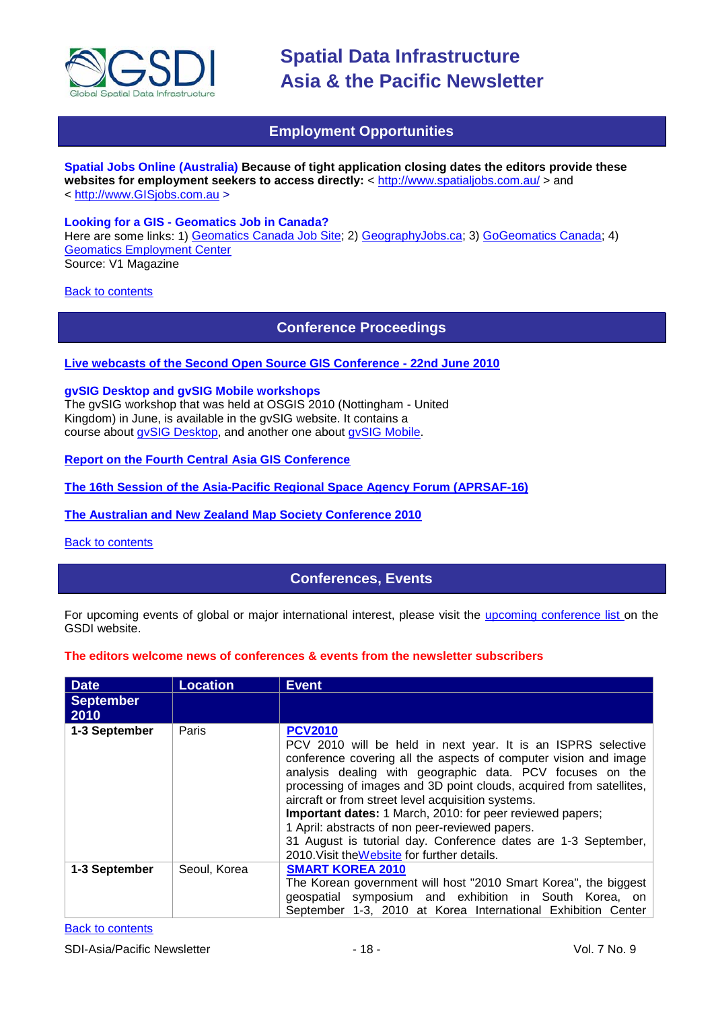

# **Employment Opportunities**

<span id="page-17-0"></span>**Spatial Jobs Online (Australia) Because of tight application closing dates the editors provide these**  websites for employment seekers to access directly: <<http://www.spatialjobs.com.au/> > and < [http://www.GISjobs.com.au](http://www.gisjobs.com.au/) >

#### **Looking for a GIS - Geomatics Job in Canada?**

Here are some links: 1) [Geomatics Canada Job Site;](http://geomaticscanada.com/jobs.cfm) 2) [GeographyJobs.ca;](http://www.geographyjobs.ca/) 3) [GoGeomatics Canada;](http://canada.gogeomatics.net/frmHome.aspx) 4) [Geomatics Employment Center](http://gisjobs.ca/) Source: V1 Magazine

<span id="page-17-1"></span>**[Back to contents](#page-0-0)** 

**Conference Proceedings**

## **[Live webcasts of the Second Open Source GIS Conference -](http://cgs.nottingham.ac.uk/~osgis10/os_home.html) 22nd June 2010**

#### **gvSIG Desktop and gvSIG Mobile workshops**

The gvSIG workshop that was held at OSGIS 2010 (Nottingham - United Kingdom) in June, is available in the gvSIG website. It contains a course about [gvSIG Desktop,](http://www.gvsig.org/web/docusr/learning/gvsig-courses/gvsig_des_1.9_u_en/) and another one about [gvSIG Mobile.](http://www.gvsig.org/web/docusr/learning/gvsig-courses/gvsig_mob_0.3_u_en/)

# **[Report on the Fourth Central](http://asmmag.com/features/report-on-the-fourth-central-asia-gis-conference) Asia GIS Conference**

**[The 16th Session of the Asia-Pacific Regional Space Agency Forum \(APRSAF-16\)](http://www.aprsaf.org/feature/feature_109.html)**

#### **[The Australian and New Zealand Map Society Conference 2010](http://blogs.slq.qld.gov.au/jol/2010/05/14/the-australian-and-new-zealand-map-society-conference-2010/)**

<span id="page-17-2"></span>[Back to contents](#page-0-0)

# **Conferences, Events**

For upcoming events of global or major international interest, please visit the [upcoming conference list o](http://gsdi.org/events/upcnf.asp)n the GSDI website.

#### **The editors welcome news of conferences & events from the newsletter subscribers**

| <b>Date</b>              | <b>Location</b> | <b>Event</b>                                                                                                                                                                                                                                                                                                                                                                                                                                                                                                                                                                   |
|--------------------------|-----------------|--------------------------------------------------------------------------------------------------------------------------------------------------------------------------------------------------------------------------------------------------------------------------------------------------------------------------------------------------------------------------------------------------------------------------------------------------------------------------------------------------------------------------------------------------------------------------------|
| <b>September</b><br>2010 |                 |                                                                                                                                                                                                                                                                                                                                                                                                                                                                                                                                                                                |
| 1-3 September            | Paris           | <b>PCV2010</b><br>PCV 2010 will be held in next year. It is an ISPRS selective<br>conference covering all the aspects of computer vision and image<br>analysis dealing with geographic data. PCV focuses on the<br>processing of images and 3D point clouds, acquired from satellites,<br>aircraft or from street level acquisition systems.<br>Important dates: 1 March, 2010: for peer reviewed papers;<br>1 April: abstracts of non peer-reviewed papers.<br>31 August is tutorial day. Conference dates are 1-3 September,<br>2010. Visit the Website for further details. |
| 1-3 September            | Seoul, Korea    | <b>SMART KOREA 2010</b><br>The Korean government will host "2010 Smart Korea", the biggest<br>geospatial symposium and exhibition in South Korea, on<br>September 1-3, 2010 at Korea International Exhibition Center                                                                                                                                                                                                                                                                                                                                                           |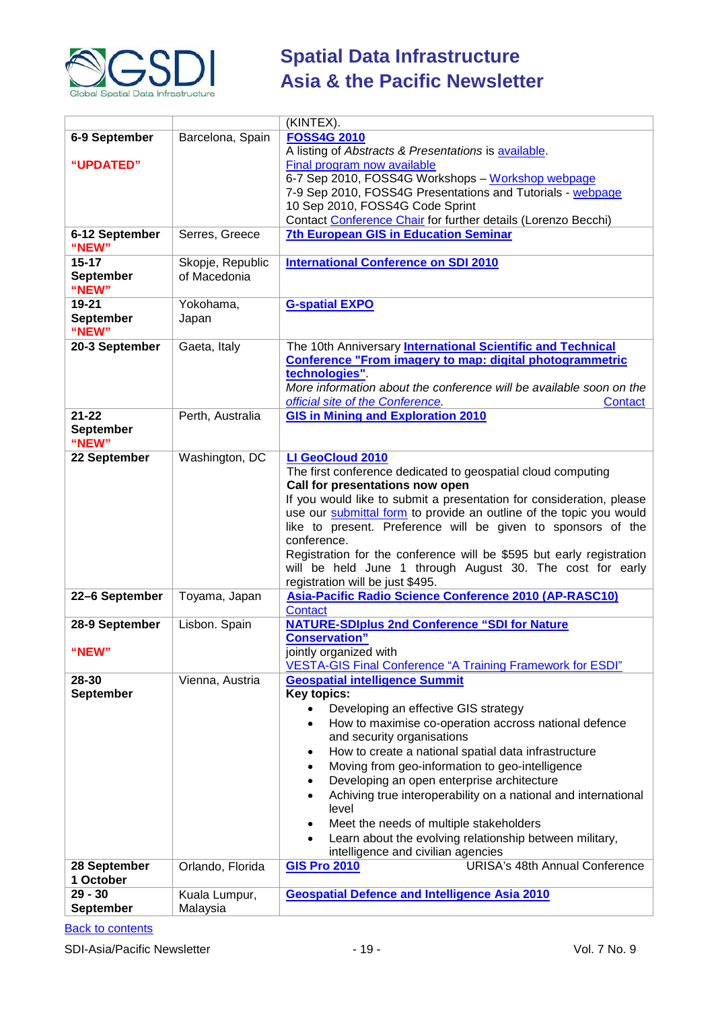

|                  |                  | (KINTEX).                                                                                                  |
|------------------|------------------|------------------------------------------------------------------------------------------------------------|
| 6-9 September    | Barcelona, Spain | <b>FOSS4G 2010</b>                                                                                         |
|                  |                  | A listing of Abstracts & Presentations is available.                                                       |
| "UPDATED"        |                  | Final program now available                                                                                |
|                  |                  | 6-7 Sep 2010, FOSS4G Workshops - Workshop webpage                                                          |
|                  |                  | 7-9 Sep 2010, FOSS4G Presentations and Tutorials - webpage                                                 |
|                  |                  | 10 Sep 2010, FOSS4G Code Sprint                                                                            |
|                  |                  | Contact Conference Chair for further details (Lorenzo Becchi)                                              |
| 6-12 September   | Serres, Greece   | <b>7th European GIS in Education Seminar</b>                                                               |
| "NEW"            |                  |                                                                                                            |
| $15 - 17$        | Skopje, Republic | <b>International Conference on SDI 2010</b>                                                                |
| <b>September</b> | of Macedonia     |                                                                                                            |
| "NEW"            |                  |                                                                                                            |
| 19-21            | Yokohama,        | <b>G-spatial EXPO</b>                                                                                      |
| <b>September</b> | Japan            |                                                                                                            |
| "NEW"            |                  |                                                                                                            |
| 20-3 September   | Gaeta, Italy     | The 10th Anniversary International Scientific and Technical                                                |
|                  |                  | <b>Conference "From imagery to map: digital photogrammetric</b>                                            |
|                  |                  | technologies".                                                                                             |
|                  |                  | More information about the conference will be available soon on the                                        |
|                  |                  | official site of the Conference.<br>Contact                                                                |
| $21 - 22$        | Perth, Australia | <b>GIS in Mining and Exploration 2010</b>                                                                  |
| <b>September</b> |                  |                                                                                                            |
| "NEW"            |                  |                                                                                                            |
| 22 September     | Washington, DC   | LI GeoCloud 2010                                                                                           |
|                  |                  | The first conference dedicated to geospatial cloud computing                                               |
|                  |                  | Call for presentations now open                                                                            |
|                  |                  | If you would like to submit a presentation for consideration, please                                       |
|                  |                  | use our submittal form to provide an outline of the topic you would                                        |
|                  |                  | like to present. Preference will be given to sponsors of the                                               |
|                  |                  | conference.                                                                                                |
|                  |                  | Registration for the conference will be \$595 but early registration                                       |
|                  |                  | will be held June 1 through August 30. The cost for early                                                  |
|                  |                  | registration will be just \$495.                                                                           |
| 22-6 September   | Toyama, Japan    | Asia-Pacific Radio Science Conference 2010 (AP-RASC10)                                                     |
|                  |                  | <b>Contact</b>                                                                                             |
| 28-9 September   | Lisbon. Spain    | <b>NATURE-SDIplus 2nd Conference "SDI for Nature</b>                                                       |
|                  |                  | <b>Conservation"</b>                                                                                       |
| "NEW"            |                  |                                                                                                            |
|                  |                  | jointly organized with                                                                                     |
| 28-30            |                  | <b>VESTA-GIS Final Conference "A Training Framework for ESDI"</b><br><b>Geospatial intelligence Summit</b> |
| <b>September</b> | Vienna, Austria  |                                                                                                            |
|                  |                  | Key topics:                                                                                                |
|                  |                  | Developing an effective GIS strategy<br>$\bullet$                                                          |
|                  |                  | How to maximise co-operation accross national defence<br>$\bullet$                                         |
|                  |                  | and security organisations                                                                                 |
|                  |                  | How to create a national spatial data infrastructure<br>$\bullet$                                          |
|                  |                  | Moving from geo-information to geo-intelligence<br>$\bullet$                                               |
|                  |                  | Developing an open enterprise architecture<br>$\bullet$                                                    |
|                  |                  | Achiving true interoperability on a national and international<br>$\bullet$                                |
|                  |                  | level                                                                                                      |
|                  |                  | Meet the needs of multiple stakeholders<br>٠                                                               |
|                  |                  | Learn about the evolving relationship between military,<br>$\bullet$                                       |
|                  |                  | intelligence and civilian agencies                                                                         |
| 28 September     | Orlando, Florida | <b>URISA's 48th Annual Conference</b><br><b>GIS Pro 2010</b>                                               |
| 1 October        |                  |                                                                                                            |
| $29 - 30$        | Kuala Lumpur,    | <b>Geospatial Defence and Intelligence Asia 2010</b>                                                       |
| <b>September</b> | Malaysia         |                                                                                                            |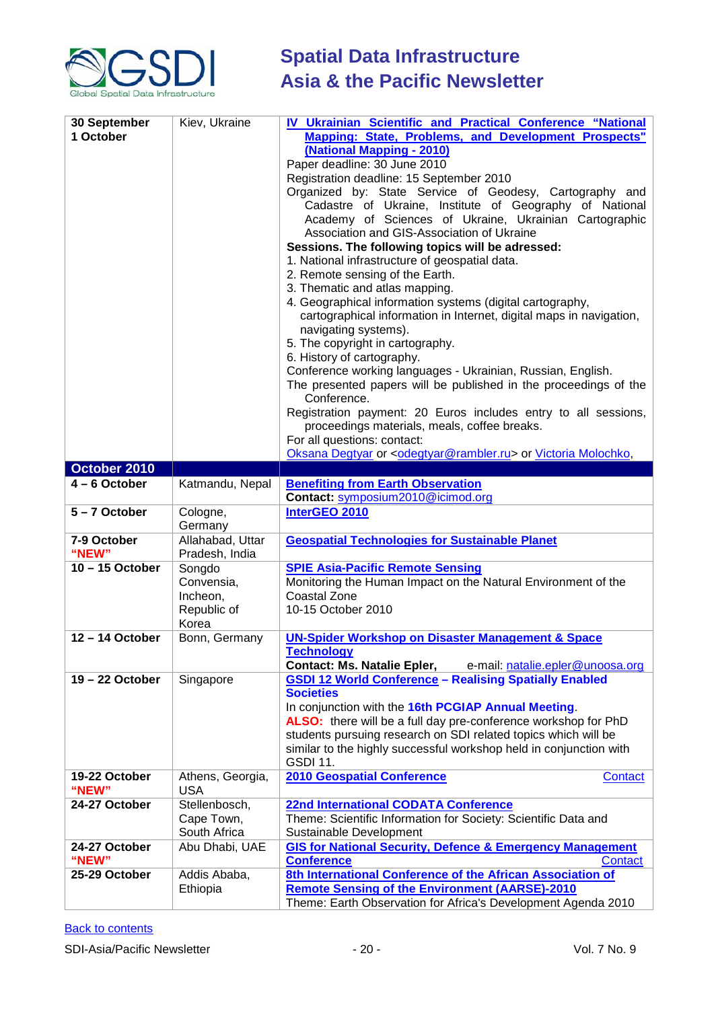

| 30 September<br>1 October | Kiev, Ukraine                                            | IV Ukrainian Scientific and Practical Conference "National<br>Mapping: State, Problems, and Development Prospects"<br>(National Mapping - 2010)<br>Paper deadline: 30 June 2010<br>Registration deadline: 15 September 2010<br>Organized by: State Service of Geodesy, Cartography and<br>Cadastre of Ukraine, Institute of Geography of National<br>Academy of Sciences of Ukraine, Ukrainian Cartographic<br>Association and GIS-Association of Ukraine<br>Sessions. The following topics will be adressed:<br>1. National infrastructure of geospatial data.<br>2. Remote sensing of the Earth.<br>3. Thematic and atlas mapping.<br>4. Geographical information systems (digital cartography,<br>cartographical information in Internet, digital maps in navigation,<br>navigating systems).<br>5. The copyright in cartography.<br>6. History of cartography.<br>Conference working languages - Ukrainian, Russian, English.<br>The presented papers will be published in the proceedings of the |
|---------------------------|----------------------------------------------------------|-------------------------------------------------------------------------------------------------------------------------------------------------------------------------------------------------------------------------------------------------------------------------------------------------------------------------------------------------------------------------------------------------------------------------------------------------------------------------------------------------------------------------------------------------------------------------------------------------------------------------------------------------------------------------------------------------------------------------------------------------------------------------------------------------------------------------------------------------------------------------------------------------------------------------------------------------------------------------------------------------------|
|                           |                                                          | Conference.<br>Registration payment: 20 Euros includes entry to all sessions,<br>proceedings materials, meals, coffee breaks.<br>For all questions: contact:<br>Oksana Degtyar or <odegtyar@rambler.ru> or Victoria Molochko,</odegtyar@rambler.ru>                                                                                                                                                                                                                                                                                                                                                                                                                                                                                                                                                                                                                                                                                                                                                   |
| October 2010              |                                                          |                                                                                                                                                                                                                                                                                                                                                                                                                                                                                                                                                                                                                                                                                                                                                                                                                                                                                                                                                                                                       |
| $4 - 6$ October           | Katmandu, Nepal                                          | <b>Benefiting from Earth Observation</b>                                                                                                                                                                                                                                                                                                                                                                                                                                                                                                                                                                                                                                                                                                                                                                                                                                                                                                                                                              |
|                           |                                                          | Contact: symposium2010@icimod.org                                                                                                                                                                                                                                                                                                                                                                                                                                                                                                                                                                                                                                                                                                                                                                                                                                                                                                                                                                     |
| 5-7 October               | Cologne,<br>Germany                                      | InterGEO 2010                                                                                                                                                                                                                                                                                                                                                                                                                                                                                                                                                                                                                                                                                                                                                                                                                                                                                                                                                                                         |
| 7-9 October<br>"NEW"      | Allahabad, Uttar<br>Pradesh, India                       | <b>Geospatial Technologies for Sustainable Planet</b>                                                                                                                                                                                                                                                                                                                                                                                                                                                                                                                                                                                                                                                                                                                                                                                                                                                                                                                                                 |
| $10 - 15$ October         | Songdo<br>Convensia,<br>Incheon,<br>Republic of<br>Korea | <b>SPIE Asia-Pacific Remote Sensing</b><br>Monitoring the Human Impact on the Natural Environment of the<br>Coastal Zone<br>10-15 October 2010                                                                                                                                                                                                                                                                                                                                                                                                                                                                                                                                                                                                                                                                                                                                                                                                                                                        |
| 12-14 October             | Bonn, Germany                                            | <b>UN-Spider Workshop on Disaster Management &amp; Space</b><br><b>Technology</b><br><b>Contact: Ms. Natalie Epler,</b><br>e-mail: natalie.epler@unoosa.org                                                                                                                                                                                                                                                                                                                                                                                                                                                                                                                                                                                                                                                                                                                                                                                                                                           |
| $19 - 22$ October         | Singapore                                                | <b>GSDI 12 World Conference - Realising Spatially Enabled</b><br><b>Societies</b><br>In conjunction with the 16th PCGIAP Annual Meeting.<br>ALSO: there will be a full day pre-conference workshop for PhD<br>students pursuing research on SDI related topics which will be<br>similar to the highly successful workshop held in conjunction with<br><b>GSDI 11.</b>                                                                                                                                                                                                                                                                                                                                                                                                                                                                                                                                                                                                                                 |
| 19-22 October<br>"NEW"    | Athens, Georgia,<br><b>USA</b>                           | <b>2010 Geospatial Conference</b><br>Contact                                                                                                                                                                                                                                                                                                                                                                                                                                                                                                                                                                                                                                                                                                                                                                                                                                                                                                                                                          |
| 24-27 October             | Stellenbosch,<br>Cape Town,<br>South Africa              | <b>22nd International CODATA Conference</b><br>Theme: Scientific Information for Society: Scientific Data and<br>Sustainable Development                                                                                                                                                                                                                                                                                                                                                                                                                                                                                                                                                                                                                                                                                                                                                                                                                                                              |
| 24-27 October<br>"NEW"    | Abu Dhabi, UAE                                           | <b>GIS for National Security, Defence &amp; Emergency Management</b><br><b>Conference</b><br><b>Contact</b>                                                                                                                                                                                                                                                                                                                                                                                                                                                                                                                                                                                                                                                                                                                                                                                                                                                                                           |
| 25-29 October             | Addis Ababa,<br>Ethiopia                                 | 8th International Conference of the African Association of<br><b>Remote Sensing of the Environment (AARSE)-2010</b><br>Theme: Earth Observation for Africa's Development Agenda 2010                                                                                                                                                                                                                                                                                                                                                                                                                                                                                                                                                                                                                                                                                                                                                                                                                  |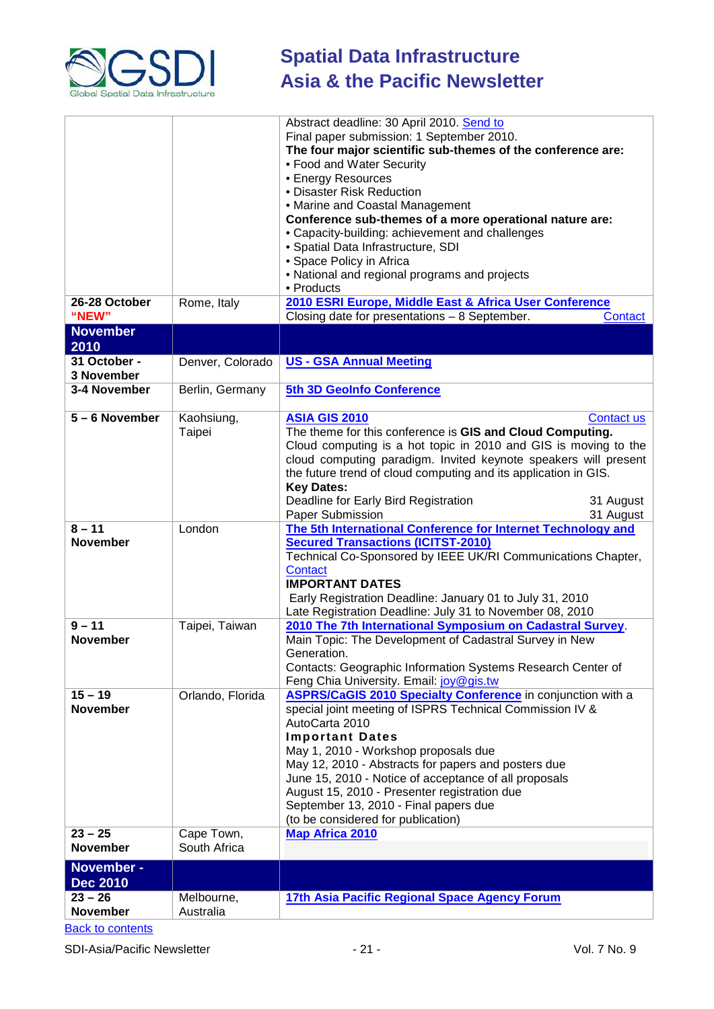

| 26-28 October                 | Rome, Italy                | Abstract deadline: 30 April 2010. Send to<br>Final paper submission: 1 September 2010.<br>The four major scientific sub-themes of the conference are:<br>• Food and Water Security<br>• Energy Resources<br>• Disaster Risk Reduction<br>• Marine and Coastal Management<br>Conference sub-themes of a more operational nature are:<br>• Capacity-building: achievement and challenges<br>· Spatial Data Infrastructure, SDI<br>• Space Policy in Africa<br>• National and regional programs and projects<br>• Products<br>2010 ESRI Europe, Middle East & Africa User Conference |
|-------------------------------|----------------------------|-----------------------------------------------------------------------------------------------------------------------------------------------------------------------------------------------------------------------------------------------------------------------------------------------------------------------------------------------------------------------------------------------------------------------------------------------------------------------------------------------------------------------------------------------------------------------------------|
| "NEW"<br><b>November</b>      |                            | Closing date for presentations - 8 September.<br><b>Contact</b>                                                                                                                                                                                                                                                                                                                                                                                                                                                                                                                   |
| 2010                          |                            |                                                                                                                                                                                                                                                                                                                                                                                                                                                                                                                                                                                   |
| 31 October -<br>3 November    | Denver, Colorado           | <b>US - GSA Annual Meeting</b>                                                                                                                                                                                                                                                                                                                                                                                                                                                                                                                                                    |
| 3-4 November                  | Berlin, Germany            | 5th 3D GeoInfo Conference                                                                                                                                                                                                                                                                                                                                                                                                                                                                                                                                                         |
| 5-6 November                  | Kaohsiung,<br>Taipei       | <b>ASIA GIS 2010</b><br>Contact us<br>The theme for this conference is GIS and Cloud Computing.<br>Cloud computing is a hot topic in 2010 and GIS is moving to the<br>cloud computing paradigm. Invited keynote speakers will present<br>the future trend of cloud computing and its application in GIS.<br><b>Key Dates:</b><br>Deadline for Early Bird Registration<br>31 August<br>Paper Submission<br>31 August                                                                                                                                                               |
| $8 - 11$<br><b>November</b>   | London                     | The 5th International Conference for Internet Technology and<br><b>Secured Transactions (ICITST-2010)</b><br>Technical Co-Sponsored by IEEE UK/RI Communications Chapter,<br>Contact<br><b>IMPORTANT DATES</b><br>Early Registration Deadline: January 01 to July 31, 2010<br>Late Registration Deadline: July 31 to November 08, 2010                                                                                                                                                                                                                                            |
| $9 - 11$<br><b>November</b>   | Taipei, Taiwan             | 2010 The 7th International Symposium on Cadastral Survey.<br>Main Topic: The Development of Cadastral Survey in New<br>Generation.<br>Contacts: Geographic Information Systems Research Center of<br>Feng Chia University. Email: joy@gis.tw                                                                                                                                                                                                                                                                                                                                      |
| $15 - 19$<br><b>November</b>  | Orlando, Florida           | <b>ASPRS/CaGIS 2010 Specialty Conference</b> in conjunction with a<br>special joint meeting of ISPRS Technical Commission IV &<br>AutoCarta 2010<br><b>Important Dates</b><br>May 1, 2010 - Workshop proposals due<br>May 12, 2010 - Abstracts for papers and posters due<br>June 15, 2010 - Notice of acceptance of all proposals<br>August 15, 2010 - Presenter registration due<br>September 13, 2010 - Final papers due<br>(to be considered for publication)                                                                                                                 |
| $23 - 25$<br><b>November</b>  | Cape Town,<br>South Africa | <b>Map Africa 2010</b>                                                                                                                                                                                                                                                                                                                                                                                                                                                                                                                                                            |
| November -<br><b>Dec 2010</b> |                            |                                                                                                                                                                                                                                                                                                                                                                                                                                                                                                                                                                                   |
| $23 - 26$<br><b>November</b>  | Melbourne,<br>Australia    | 17th Asia Pacific Regional Space Agency Forum                                                                                                                                                                                                                                                                                                                                                                                                                                                                                                                                     |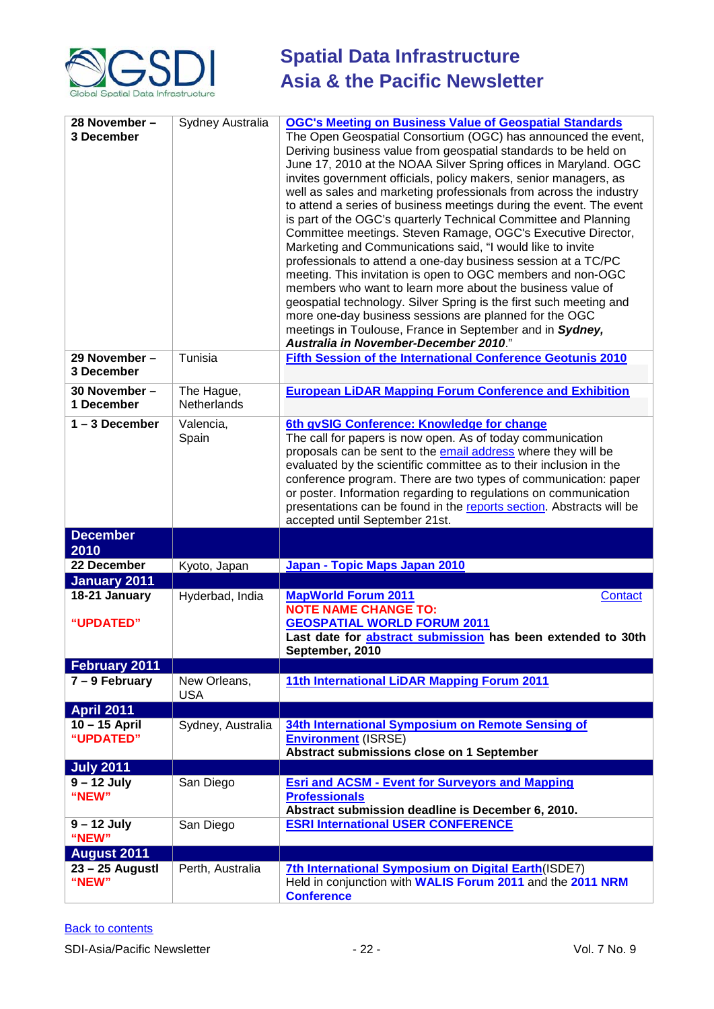

| 28 November -<br>3 December | Sydney Australia           | <b>OGC's Meeting on Business Value of Geospatial Standards</b><br>The Open Geospatial Consortium (OGC) has announced the event,<br>Deriving business value from geospatial standards to be held on<br>June 17, 2010 at the NOAA Silver Spring offices in Maryland. OGC<br>invites government officials, policy makers, senior managers, as<br>well as sales and marketing professionals from across the industry<br>to attend a series of business meetings during the event. The event<br>is part of the OGC's quarterly Technical Committee and Planning<br>Committee meetings. Steven Ramage, OGC's Executive Director,<br>Marketing and Communications said, "I would like to invite<br>professionals to attend a one-day business session at a TC/PC<br>meeting. This invitation is open to OGC members and non-OGC<br>members who want to learn more about the business value of<br>geospatial technology. Silver Spring is the first such meeting and<br>more one-day business sessions are planned for the OGC<br>meetings in Toulouse, France in September and in Sydney,<br>Australia in November-December 2010." |
|-----------------------------|----------------------------|-----------------------------------------------------------------------------------------------------------------------------------------------------------------------------------------------------------------------------------------------------------------------------------------------------------------------------------------------------------------------------------------------------------------------------------------------------------------------------------------------------------------------------------------------------------------------------------------------------------------------------------------------------------------------------------------------------------------------------------------------------------------------------------------------------------------------------------------------------------------------------------------------------------------------------------------------------------------------------------------------------------------------------------------------------------------------------------------------------------------------------|
| 29 November -<br>3 December | Tunisia                    | Fifth Session of the International Conference Geotunis 2010                                                                                                                                                                                                                                                                                                                                                                                                                                                                                                                                                                                                                                                                                                                                                                                                                                                                                                                                                                                                                                                                 |
| 30 November -<br>1 December | The Hague,<br>Netherlands  | <b>European LiDAR Mapping Forum Conference and Exhibition</b>                                                                                                                                                                                                                                                                                                                                                                                                                                                                                                                                                                                                                                                                                                                                                                                                                                                                                                                                                                                                                                                               |
| $1 - 3$ December            | Valencia,<br>Spain         | 6th gvSIG Conference: Knowledge for change<br>The call for papers is now open. As of today communication<br>proposals can be sent to the email address where they will be<br>evaluated by the scientific committee as to their inclusion in the<br>conference program. There are two types of communication: paper<br>or poster. Information regarding to regulations on communication<br>presentations can be found in the reports section. Abstracts will be<br>accepted until September 21st.                                                                                                                                                                                                                                                                                                                                                                                                                                                                                                                                                                                                                            |
| <b>December</b><br>2010     |                            |                                                                                                                                                                                                                                                                                                                                                                                                                                                                                                                                                                                                                                                                                                                                                                                                                                                                                                                                                                                                                                                                                                                             |
| 22 December                 | Kyoto, Japan               | Japan - Topic Maps Japan 2010                                                                                                                                                                                                                                                                                                                                                                                                                                                                                                                                                                                                                                                                                                                                                                                                                                                                                                                                                                                                                                                                                               |
| <b>January 2011</b>         |                            |                                                                                                                                                                                                                                                                                                                                                                                                                                                                                                                                                                                                                                                                                                                                                                                                                                                                                                                                                                                                                                                                                                                             |
| 18-21 January<br>"UPDATED"  | Hyderbad, India            | <b>MapWorld Forum 2011</b><br>Contact<br><b>NOTE NAME CHANGE TO:</b><br><b>GEOSPATIAL WORLD FORUM 2011</b><br>Last date for abstract submission has been extended to 30th                                                                                                                                                                                                                                                                                                                                                                                                                                                                                                                                                                                                                                                                                                                                                                                                                                                                                                                                                   |
| <b>February 2011</b>        |                            | September, 2010                                                                                                                                                                                                                                                                                                                                                                                                                                                                                                                                                                                                                                                                                                                                                                                                                                                                                                                                                                                                                                                                                                             |
| $7 - 9$ February            | New Orleans,<br><b>USA</b> | 11th International LiDAR Mapping Forum 2011                                                                                                                                                                                                                                                                                                                                                                                                                                                                                                                                                                                                                                                                                                                                                                                                                                                                                                                                                                                                                                                                                 |
| <b>April 2011</b>           |                            |                                                                                                                                                                                                                                                                                                                                                                                                                                                                                                                                                                                                                                                                                                                                                                                                                                                                                                                                                                                                                                                                                                                             |
| 10-15 April<br>"UPDATED"    | Sydney, Australia          | 34th International Symposium on Remote Sensing of<br><b>Environment (ISRSE)</b><br>Abstract submissions close on 1 September                                                                                                                                                                                                                                                                                                                                                                                                                                                                                                                                                                                                                                                                                                                                                                                                                                                                                                                                                                                                |
| <b>July 2011</b>            |                            |                                                                                                                                                                                                                                                                                                                                                                                                                                                                                                                                                                                                                                                                                                                                                                                                                                                                                                                                                                                                                                                                                                                             |
| $9 - 12$ July<br>"NEW"      | San Diego                  | <b>Esri and ACSM - Event for Surveyors and Mapping</b><br><b>Professionals</b><br>Abstract submission deadline is December 6, 2010.                                                                                                                                                                                                                                                                                                                                                                                                                                                                                                                                                                                                                                                                                                                                                                                                                                                                                                                                                                                         |
| $9 - 12$ July<br>"NEW"      | San Diego                  | <b>ESRI International USER CONFERENCE</b>                                                                                                                                                                                                                                                                                                                                                                                                                                                                                                                                                                                                                                                                                                                                                                                                                                                                                                                                                                                                                                                                                   |
| <b>August 2011</b>          |                            |                                                                                                                                                                                                                                                                                                                                                                                                                                                                                                                                                                                                                                                                                                                                                                                                                                                                                                                                                                                                                                                                                                                             |
| 23 - 25 Augustl<br>"NEW"    | Perth, Australia           | 7th International Symposium on Digital Earth (ISDE7)<br>Held in conjunction with WALIS Forum 2011 and the 2011 NRM<br><b>Conference</b>                                                                                                                                                                                                                                                                                                                                                                                                                                                                                                                                                                                                                                                                                                                                                                                                                                                                                                                                                                                     |